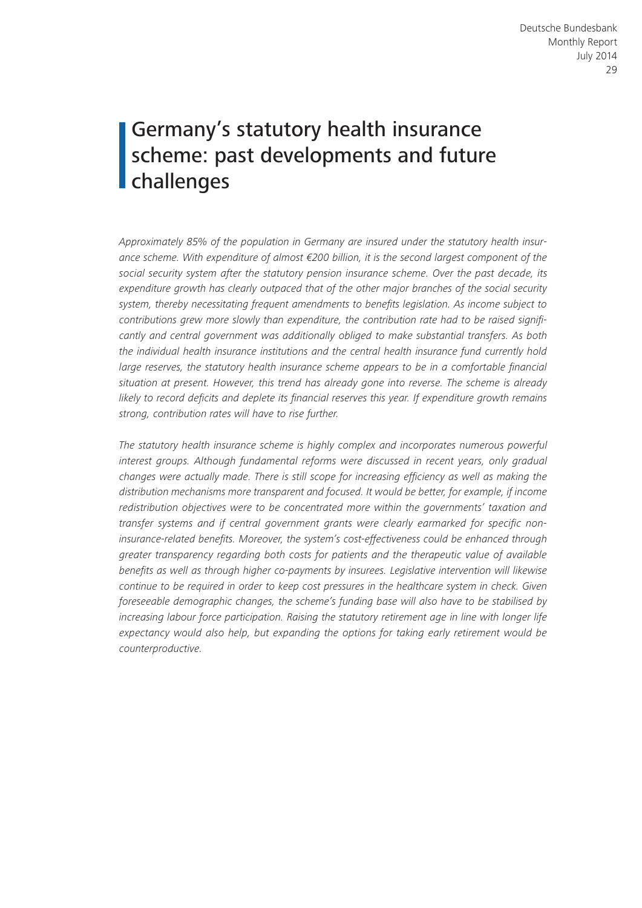# Germany's statutory health insurance scheme: past developments and future challenges

*Approximately 85% of the population in Germany are insured under the statutory health insurance scheme. With expenditure of almost €200 billion, it is the second largest component of the social security system after the statutory pension insurance scheme. Over the past decade, its expenditure growth has clearly outpaced that of the other major branches of the social security system, thereby necessitating frequent amendments to benefits legislation. As income subject to contributions grew more slowly than expenditure, the contribution rate had to be raised significantly and central government was additionally obliged to make substantial transfers. As both the individual health insurance institutions and the central health insurance fund currently hold large reserves, the statutory health insurance scheme appears to be in a comfortable financial situation at present. However, this trend has already gone into reverse. The scheme is already likely to record deficits and deplete its financial reserves this year. If expenditure growth remains strong, contribution rates will have to rise further.*

*The statutory health insurance scheme is highly complex and incorporates numerous powerful interest groups. Although fundamental reforms were discussed in recent years, only gradual changes were actually made. There is still scope for increasing efficiency as well as making the distribution mechanisms more transparent and focused. It would be better, for example, if income redistribution objectives were to be concentrated more within the governments' taxation and transfer systems and if central government grants were clearly earmarked for specific noninsurance-related benefits. Moreover, the system's cost-effectiveness could be enhanced through greater transparency regarding both costs for patients and the therapeutic value of available benefits as well as through higher co-payments by insurees. Legislative intervention will likewise continue to be required in order to keep cost pressures in the healthcare system in check. Given foreseeable demographic changes, the scheme's funding base will also have to be stabilised by increasing labour force participation. Raising the statutory retirement age in line with longer life expectancy would also help, but expanding the options for taking early retirement would be counterproductive.*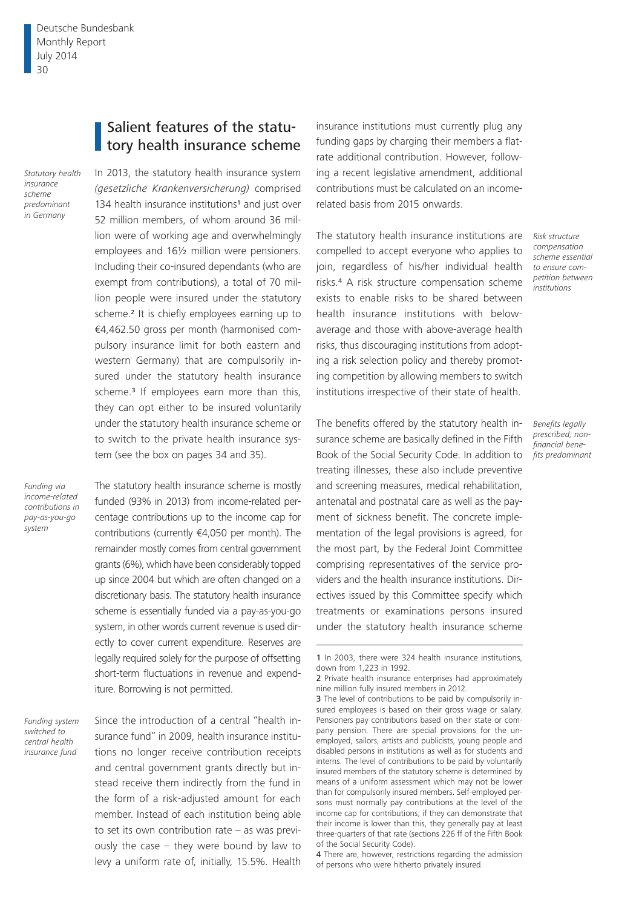# Salient features of the statu**tory health insurance scheme**

*Statutory health insurance scheme predominant in Germany*

In 2013, the statutory health insurance system *(gesetzliche Krankenversicherung)* comprised 134 health insurance institutions<sup>1</sup> and just over 52 million members, of whom around 36 million were of working age and overwhelmingly employees and 16½ million were pensioners. Including their co-insured dependants (who are exempt from contributions), a total of 70 million people were insured under the statutory scheme.<sup>2</sup> It is chiefly employees earning up to €4,462.50 gross per month (harmonised compulsory insurance limit for both eastern and western Germany) that are compulsorily insured under the statutory health insurance scheme.<sup>3</sup> If employees earn more than this, they can opt either to be insured voluntarily under the statutory health insurance scheme or to switch to the private health insurance system (see the box on pages 34 and 35).

*Funding via income-related contributions in pay-as-you-go system*

The statutory health insurance scheme is mostly funded (93% in 2013) from income-related percentage contributions up to the income cap for contributions (currently €4,050 per month). The remainder mostly comes from central government grants (6%), which have been considerably topped up since 2004 but which are often changed on a discretionary basis. The statutory health insurance scheme is essentially funded via a pay-as-you-go system, in other words current revenue is used directly to cover current expenditure. Reserves are legally required solely for the purpose of offsetting short-term fluctuations in revenue and expenditure. Borrowing is not permitted.

*Funding system switched to central health insurance fund*

Since the introduction of a central "health insurance fund" in 2009, health insurance institutions no longer receive contribution receipts and central government grants directly but instead receive them indirectly from the fund in the form of a risk-adjusted amount for each member. Instead of each institution being able to set its own contribution rate – as was previously the case – they were bound by law to levy a uniform rate of, initially, 15.5%. Health

insurance institutions must currently plug any funding gaps by charging their members a flatrate additional contribution. However, following a recent legislative amendment, additional contributions must be calculated on an incomerelated basis from 2015 onwards.

The statutory health insurance institutions are compelled to accept everyone who applies to join, regardless of his/her individual health risks.4 A risk structure compensation scheme exists to enable risks to be shared between health insurance institutions with belowaverage and those with above-average health risks, thus discouraging institutions from adopting a risk selection policy and thereby promoting competition by allowing members to switch institutions irrespective of their state of health.

The benefits offered by the statutory health insurance scheme are basically defined in the Fifth Book of the Social Security Code. In addition to treating illnesses, these also include preventive and screening measures, medical rehabilitation, antenatal and postnatal care as well as the payment of sickness benefit. The concrete implementation of the legal provisions is agreed, for the most part, by the Federal Joint Committee comprising representatives of the service providers and the health insurance institutions. Directives issued by this Committee specify which treatments or examinations persons insured under the statutory health insurance scheme

*Risk structure compensation scheme essential to ensure competition between institutions*

*Benefits legally prescribed; nonfinancial benefits predominant*

<sup>1</sup> In 2003, there were 324 health insurance institutions, down from 1,223 in 1992.

<sup>2</sup> Private health insurance enterprises had approximately nine million fully insured members in 2012.

<sup>3</sup> The level of contributions to be paid by compulsorily insured employees is based on their gross wage or salary. Pensioners pay contributions based on their state or company pension. There are special provisions for the unemployed, sailors, artists and publicists, young people and disabled persons in institutions as well as for students and interns. The level of contributions to be paid by voluntarily insured members of the statutory scheme is determined by means of a uniform assessment which may not be lower than for compulsorily insured members. Self-employed persons must normally pay contributions at the level of the income cap for contributions; if they can demonstrate that their income is lower than this, they generally pay at least three-quarters of that rate (sections 226 ff of the Fifth Book of the Social Security Code).

<sup>4</sup> There are, however, restrictions regarding the admission of persons who were hitherto privately insured.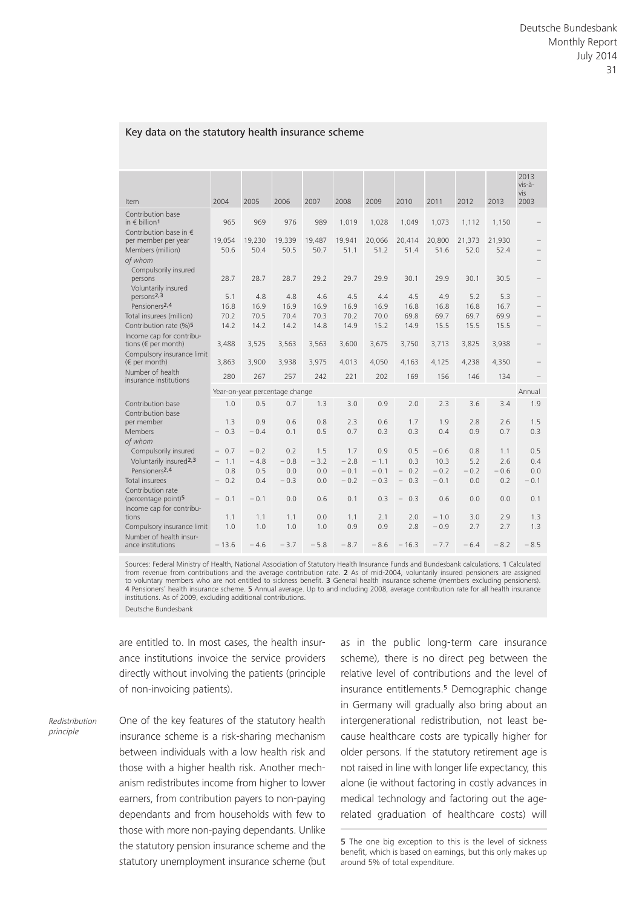#### Key data on the statutory health insurance scheme

| Item                                                                                       | 2004                                      | 2005                    | 2006                 | 2007                 | 2008                    | 2009                    | 2010                                                               | 2011                     | 2012                 | 2013                 | 2013<br>vis-à-<br>vis<br>2003 |  |
|--------------------------------------------------------------------------------------------|-------------------------------------------|-------------------------|----------------------|----------------------|-------------------------|-------------------------|--------------------------------------------------------------------|--------------------------|----------------------|----------------------|-------------------------------|--|
| Contribution base<br>in $\notin$ billion <sup>1</sup>                                      | 965                                       | 969                     | 976                  | 989                  | 1.019                   | 1,028                   | 1,049                                                              | 1,073                    | 1,112                | 1,150                |                               |  |
| Contribution base in $\epsilon$<br>per member per year<br>Members (million)<br>of whom     | 19,054<br>50.6                            | 19,230<br>50.4          | 19,339<br>50.5       | 19,487<br>50.7       | 19,941<br>51.1          | 20,066<br>51.2          | 20,414<br>51.4                                                     | 20,800<br>51.6           | 21,373<br>52.0       | 21,930<br>52.4       |                               |  |
| Compulsorily insured<br>persons<br>Voluntarily insured                                     | 28.7                                      | 28.7                    | 28.7                 | 29.2                 | 29.7                    | 29.9                    | 30.1                                                               | 29.9                     | 30.1                 | 30.5                 |                               |  |
| persons2,3<br>Pensioners <sup>2,4</sup>                                                    | 5.1<br>16.8                               | 4.8<br>16.9             | 4.8<br>16.9          | 4.6<br>16.9          | 4.5<br>16.9             | 4.4<br>16.9             | 4.5<br>16.8                                                        | 4.9<br>16.8              | 5.2<br>16.8          | 5.3<br>16.7          |                               |  |
| Total insurees (million)<br>Contribution rate (%)5<br>Income cap for contribu-             | 70.2<br>14.2                              | 70.5<br>14.2            | 70.4<br>14.2         | 70.3<br>14.8         | 70.2<br>14.9            | 70.0<br>15.2            | 69.8<br>14.9                                                       | 69.7<br>15.5             | 69.7<br>15.5         | 69.9<br>15.5         |                               |  |
| tions ( $\epsilon$ per month)<br>Compulsory insurance limit                                | 3,488                                     | 3,525                   | 3,563                | 3,563                | 3,600                   | 3,675                   | 3,750                                                              | 3,713                    | 3,825                | 3,938                |                               |  |
| $(\epsilon$ per month)<br>Number of health                                                 | 3,863<br>280                              | 3,900<br>267            | 3,938<br>257         | 3,975<br>242         | 4.013<br>221            | 4,050<br>202            | 4,163<br>169                                                       | 4,125<br>156             | 4,238<br>146         | 4,350<br>134         |                               |  |
| insurance institutions                                                                     | Year-on-year percentage change<br>Annual  |                         |                      |                      |                         |                         |                                                                    |                          |                      |                      |                               |  |
| Contribution base<br>Contribution base                                                     | 1.0                                       | 0.5                     | 0.7                  | 1.3                  | 3.0                     | 0.9                     | 2.0                                                                | 2.3                      | 3.6                  | 3.4                  | 1.9                           |  |
| per member<br><b>Members</b><br>of whom                                                    | 1.3<br>$-0.3$                             | 0.9<br>$-0.4$           | 0.6<br>0.1           | 0.8<br>0.5           | 2.3<br>0.7              | 0.6<br>0.3              | 1.7<br>0.3                                                         | 1.9<br>0.4               | 2.8<br>0.9           | 2.6<br>0.7           | 1.5<br>0.3                    |  |
| Compulsorily insured<br>Voluntarily insured <sup>2,3</sup><br>Pensioners <sub>2,4</sub>    | $-0.7$<br>$-1.1$<br>0.8                   | $-0.2$<br>$-4.8$<br>0.5 | 0.2<br>$-0.8$<br>0.0 | 1.5<br>$-3.2$<br>0.0 | 1.7<br>$-2.8$<br>$-0.1$ | 0.9<br>$-1.1$<br>$-0.1$ | 0.5<br>0.3<br>0.2<br>$-$                                           | $-0.6$<br>10.3<br>$-0.2$ | 0.8<br>5.2<br>$-0.2$ | 1.1<br>2.6<br>$-0.6$ | 0.5<br>0.4<br>0.0             |  |
| Total insurees<br>Contribution rate<br>(percentage point) <sup>5</sup>                     | $-0.2$<br>0.1<br>$\overline{\phantom{0}}$ | 0.4<br>$-0.1$           | $-0.3$<br>0.0        | 0.0<br>0.6           | $-0.2$<br>0.1           | $-0.3$<br>0.3           | 0.3<br>$\overline{\phantom{0}}$<br>$\overline{\phantom{0}}$<br>0.3 | $-0.1$<br>0.6            | 0.0<br>0.0           | 0.2<br>0.0           | $-0.1$<br>0.1                 |  |
| Income cap for contribu-<br>tions<br>Compulsory insurance limit<br>Number of health insur- | 1.1<br>1.0                                | 1.1<br>1.0              | 1.1<br>1.0           | 0.0<br>1.0           | 1.1<br>0.9              | 2.1<br>0.9              | 2.0<br>2.8                                                         | $-1.0$<br>$-0.9$         | 3.0<br>2.7           | 2.9<br>2.7           | 1.3<br>1.3                    |  |
| ance institutions                                                                          | $-13.6$                                   | $-4.6$                  | $-3.7$               | $-5.8$               | $-8.7$                  | $-8.6$                  | $-16.3$                                                            | $-7.7$                   | $-6.4$               | $-8.2$               | $-8.5$                        |  |

Sources: Federal Ministry of Health, National Association of Statutory Health Insurance Funds and Bundesbank calculations. 1 Calculated<br>from revenue from contributions and the average contribution rate. 2 As of mid-2004, v to voluntary members who are not entitled to sickness benefit. 3 General health insurance scheme (members excluding pensioners). 4 Pensioners' health insurance scheme. 5 Annual average. Up to and including 2008, average contribution rate for all health insurance institutions. As of 2009, excluding additional contributions. Deutsche Bundesbank

are entitled to. In most cases, the health insurance institutions invoice the service providers directly without involving the patients (principle

of non-invoicing patients).

*Redistribution principle*

One of the key features of the statutory health insurance scheme is a risk-sharing mechanism between individuals with a low health risk and those with a higher health risk. Another mechanism redistributes income from higher to lower earners, from contribution payers to non-paying dependants and from households with few to those with more non-paying dependants. Unlike the statutory pension insurance scheme and the statutory unemployment insurance scheme (but as in the public long-term care insurance scheme), there is no direct peg between the relative level of contributions and the level of insurance entitlements.<sup>5</sup> Demographic change in Germany will gradually also bring about an intergenerational redistribution, not least because healthcare costs are typically higher for older persons. If the statutory retirement age is not raised in line with longer life expectancy, this alone (ie without factoring in costly advances in medical technology and factoring out the agerelated graduation of healthcare costs) will

<sup>5</sup> The one big exception to this is the level of sickness benefit, which is based on earnings, but this only makes up around 5% of total expenditure.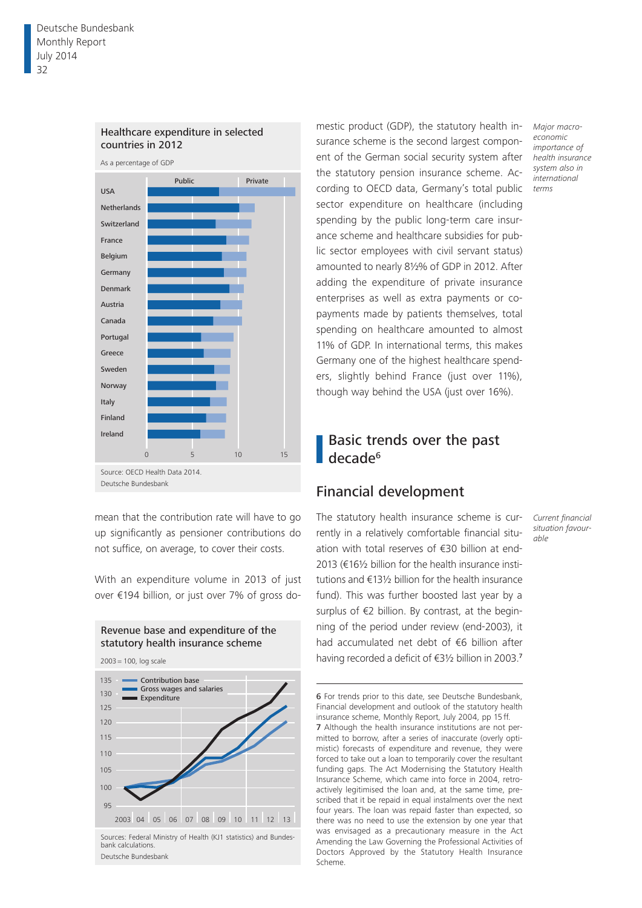

#### Healthcare expenditure in selected countries in 2012

mean that the contribution rate will have to go up significantly as pensioner contributions do not suffice, on average, to cover their costs.

With an expenditure volume in 2013 of just over €194 billion, or just over 7% of gross do-



2003 = 100, log scale



Sources: Federal Ministry of Health (KJ1 statistics) and Bundesbank calculations. Deutsche Bundesbank

mestic product (GDP), the statutory health insurance scheme is the second largest component of the German social security system after the statutory pension insurance scheme. According to OECD data, Germany's total public sector expenditure on healthcare (including spending by the public long-term care insurance scheme and healthcare subsidies for public sector employees with civil servant status) amounted to nearly 8½% of GDP in 2012. After adding the expenditure of private insurance enterprises as well as extra payments or copayments made by patients themselves, total spending on healthcare amounted to almost 11% of GDP. In international terms, this makes Germany one of the highest healthcare spenders, slightly behind France (just over 11%), though way behind the USA (just over 16%).

# Basic trends over the past decade<sup>6</sup>

# Financial development

The statutory health insurance scheme is currently in a relatively comfortable financial situation with total reserves of €30 billion at end-2013 (€16½ billion for the health insurance institutions and €13½ billion for the health insurance fund). This was further boosted last year by a surplus of €2 billion. By contrast, at the beginning of the period under review (end-2003), it had accumulated net debt of €6 billion after having recorded a deficit of €3½ billion in 2003.<sup>7</sup>

*Current financial situation favourable*

*Major macroeconomic importance of health insurance system also in international terms*

Financial development and outlook of the statutory health insurance scheme, Monthly Report, July 2004, pp 15ff. 7 Although the health insurance institutions are not permitted to borrow, after a series of inaccurate (overly optimistic) forecasts of expenditure and revenue, they were forced to take out a loan to temporarily cover the resultant funding gaps. The Act Modernising the Statutory Health Insurance Scheme, which came into force in 2004, retroactively legitimised the loan and, at the same time, prescribed that it be repaid in equal instalments over the next four years. The loan was repaid faster than expected, so there was no need to use the extension by one year that was envisaged as a precautionary measure in the Act Amending the Law Governing the Professional Activities of Doctors Approved by the Statutory Health Insurance Scheme.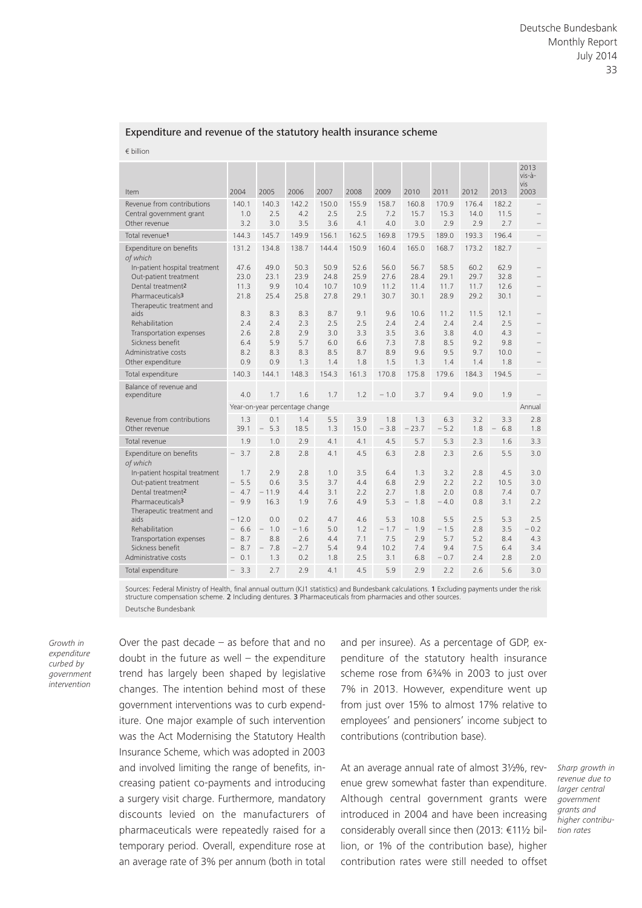#### Expenditure and revenue of the statutory health insurance scheme

€ billion

| Item                                                                                                                                                                                        | 2004                                                                                                                       | 2005                                                                  | 2006                                         | 2007                                   | 2008                                   | 2009                                       | 2010                                                 | 2011                                         | 2012                                    | 2013                                     | 2013<br>vis-à-<br>vis<br>2003             |
|---------------------------------------------------------------------------------------------------------------------------------------------------------------------------------------------|----------------------------------------------------------------------------------------------------------------------------|-----------------------------------------------------------------------|----------------------------------------------|----------------------------------------|----------------------------------------|--------------------------------------------|------------------------------------------------------|----------------------------------------------|-----------------------------------------|------------------------------------------|-------------------------------------------|
| Revenue from contributions<br>Central government grant<br>Other revenue                                                                                                                     | 140.1<br>1.0<br>3.2                                                                                                        | 140.3<br>2.5<br>3.0                                                   | 142.2<br>4.2<br>3.5                          | 150.0<br>2.5<br>3.6                    | 155.9<br>2.5<br>4.1                    | 158.7<br>7.2<br>4.0                        | 160.8<br>15.7<br>3.0                                 | 170.9<br>15.3<br>2.9                         | 176.4<br>14.0<br>2.9                    | 182.2<br>11.5<br>2.7                     |                                           |
| Total revenue <sup>1</sup>                                                                                                                                                                  | 144.3                                                                                                                      | 145.7                                                                 | 149.9                                        | 156.1                                  | 162.5                                  | 169.8                                      | 179.5                                                | 189.0                                        | 193.3                                   | 196.4                                    |                                           |
| Expenditure on benefits<br>of which<br>In-patient hospital treatment<br>Out-patient treatment<br>Dental treatment <sup>2</sup><br>Pharmaceuticals <sup>3</sup>                              | 131.2<br>47.6<br>23.0<br>11.3<br>21.8                                                                                      | 134.8<br>49.0<br>23.1<br>9.9<br>25.4                                  | 138.7<br>50.3<br>23.9<br>10.4<br>25.8        | 144.4<br>50.9<br>24.8<br>10.7<br>27.8  | 150.9<br>52.6<br>25.9<br>10.9<br>29.1  | 160.4<br>56.0<br>27.6<br>11.2<br>30.7      | 165.0<br>56.7<br>28.4<br>11.4<br>30.1                | 168.7<br>58.5<br>29.1<br>11.7<br>28.9        | 173.2<br>60.2<br>29.7<br>11.7<br>29.2   | 182.7<br>62.9<br>32.8<br>12.6<br>30.1    |                                           |
| Therapeutic treatment and<br>aids<br>Rehabilitation<br>Transportation expenses<br>Sickness benefit<br>Administrative costs<br>Other expenditure                                             | 8.3<br>2.4<br>2.6<br>6.4<br>8.2<br>0.9                                                                                     | 8.3<br>2.4<br>2.8<br>5.9<br>8.3<br>0.9                                | 8.3<br>2.3<br>2.9<br>5.7<br>8.3<br>1.3       | 8.7<br>2.5<br>3.0<br>6.0<br>8.5<br>1.4 | 9.1<br>2.5<br>3.3<br>6.6<br>8.7<br>1.8 | 9.6<br>2.4<br>3.5<br>7.3<br>8.9<br>1.5     | 10.6<br>2.4<br>3.6<br>7.8<br>9.6<br>1.3              | 11.2<br>2.4<br>3.8<br>8.5<br>9.5<br>1.4      | 11.5<br>2.4<br>4.0<br>9.2<br>9.7<br>1.4 | 12.1<br>2.5<br>4.3<br>9.8<br>10.0<br>1.8 |                                           |
| Total expenditure                                                                                                                                                                           | 140.3                                                                                                                      | 144.1                                                                 | 148.3                                        | 154.3                                  | 161.3                                  | 170.8                                      | 175.8                                                | 179.6                                        | 184.3                                   | 194.5                                    |                                           |
| Balance of revenue and<br>expenditure                                                                                                                                                       | 4.0                                                                                                                        | 1.7                                                                   | 1.6                                          | 1.7                                    | 1.2                                    | $-1.0$                                     | 3.7                                                  | 9.4                                          | 9.0                                     | 1.9                                      |                                           |
|                                                                                                                                                                                             | Year-on-year percentage change                                                                                             |                                                                       |                                              |                                        |                                        |                                            |                                                      |                                              |                                         |                                          | Annual                                    |
| Revenue from contributions<br>Other revenue                                                                                                                                                 | 1.3<br>39.1                                                                                                                | 0.1<br>5.3<br>$\qquad \qquad -$                                       | 1.4<br>18.5                                  | 5.5<br>1.3                             | 3.9<br>15.0                            | 1.8<br>$-3.8$                              | 1.3<br>$-23.7$                                       | 6.3<br>$-5.2$                                | 3.2<br>1.8                              | 3.3<br>6.8                               | 2.8<br>1.8                                |
| Total revenue                                                                                                                                                                               | 1.9                                                                                                                        | 1.0                                                                   | 2.9                                          | 4.1                                    | 4.1                                    | 4.5                                        | 5.7                                                  | 5.3                                          | 2.3                                     | 1.6                                      | 3.3                                       |
| Expenditure on benefits<br>of which<br>In-patient hospital treatment<br>Out-patient treatment<br>Dental treatment <sup>2</sup><br>Pharmaceuticals <sup>3</sup><br>Therapeutic treatment and | 3.7<br>$\overline{\phantom{0}}$<br>1.7<br>5.5<br>$\overline{\phantom{0}}$<br>4.7<br>$\overline{\phantom{0}}$<br>9.9<br>$-$ | 2.8<br>2.9<br>0.6<br>$-11.9$<br>16.3                                  | 2.8<br>2.8<br>3.5<br>4.4<br>1.9              | 4.1<br>1.0<br>3.7<br>3.1<br>7.6        | 4.5<br>3.5<br>4.4<br>2.2<br>4.9        | 6.3<br>6.4<br>6.8<br>2.7<br>5.3            | 2.8<br>1.3<br>2.9<br>1.8<br>1.8<br>$\qquad \qquad -$ | 2.3<br>3.2<br>2.2<br>2.0<br>$-4.0$           | 2.6<br>2.8<br>2.2<br>0.8<br>0.8         | 5.5<br>4.5<br>10.5<br>7.4<br>3.1         | 3.0<br>3.0<br>3.0<br>0.7<br>2.2           |
| aids<br>Rehabilitation<br>Transportation expenses<br>Sickness benefit<br>Administrative costs<br>Total expenditure                                                                          | $-12.0$<br>6.6<br>8.7<br>$\overline{\phantom{m}}$<br>8.7<br>$\qquad \qquad -$<br>0.1<br>$\qquad \qquad -$<br>3.3           | 0.0<br>$-1.0$<br>8.8<br>7.8<br>$\overline{\phantom{a}}$<br>1.3<br>2.7 | 0.2<br>$-1.6$<br>2.6<br>$-2.7$<br>0.2<br>2.9 | 4.7<br>5.0<br>4.4<br>5.4<br>1.8<br>4.1 | 4.6<br>1.2<br>7.1<br>9.4<br>2.5<br>4.5 | 5.3<br>$-1.7$<br>7.5<br>10.2<br>3.1<br>5.9 | 10.8<br>$-$<br>1.9<br>2.9<br>7.4<br>6.8<br>2.9       | 5.5<br>$-1.5$<br>5.7<br>9.4<br>$-0.7$<br>2.2 | 2.5<br>2.8<br>5.2<br>7.5<br>2.4<br>2.6  | 5.3<br>3.5<br>8.4<br>6.4<br>2.8<br>5.6   | 2.5<br>$-0.2$<br>4.3<br>3.4<br>2.0<br>3.0 |
|                                                                                                                                                                                             |                                                                                                                            |                                                                       |                                              |                                        |                                        |                                            |                                                      |                                              |                                         |                                          |                                           |

Sources: Federal Ministry of Health, final annual outturn (KJ1 statistics) and Bundesbank calculations. 1 Excluding payments under the risk structure compensation scheme. 2 Including dentures. 3 Pharmaceuticals from pharmacies and other sources. Deutsche Bundesbank

*Growth in expenditure curbed by government intervention*

Over the past decade – as before that and no doubt in the future as well  $-$  the expenditure trend has largely been shaped by legislative changes. The intention behind most of these government interventions was to curb expenditure. One major example of such intervention was the Act Modernising the Statutory Health Insurance Scheme, which was adopted in 2003 and involved limiting the range of benefits, increasing patient co-payments and introducing a surgery visit charge. Furthermore, mandatory discounts levied on the manufacturers of pharmaceuticals were repeatedly raised for a temporary period. Overall, expenditure rose at an average rate of 3% per annum (both in total

and per insuree). As a percentage of GDP, expenditure of the statutory health insurance scheme rose from 6¾% in 2003 to just over 7% in 2013. However, expenditure went up from just over 15% to almost 17% relative to employees' and pensioners' income subject to contributions (contribution base).

At an average annual rate of almost 3½%, revenue grew somewhat faster than expenditure. Although central government grants were introduced in 2004 and have been increasing considerably overall since then (2013: €11½ billion, or 1% of the contribution base), higher contribution rates were still needed to offset

*Sharp growth in revenue due to larger central government grants and higher contribution rates*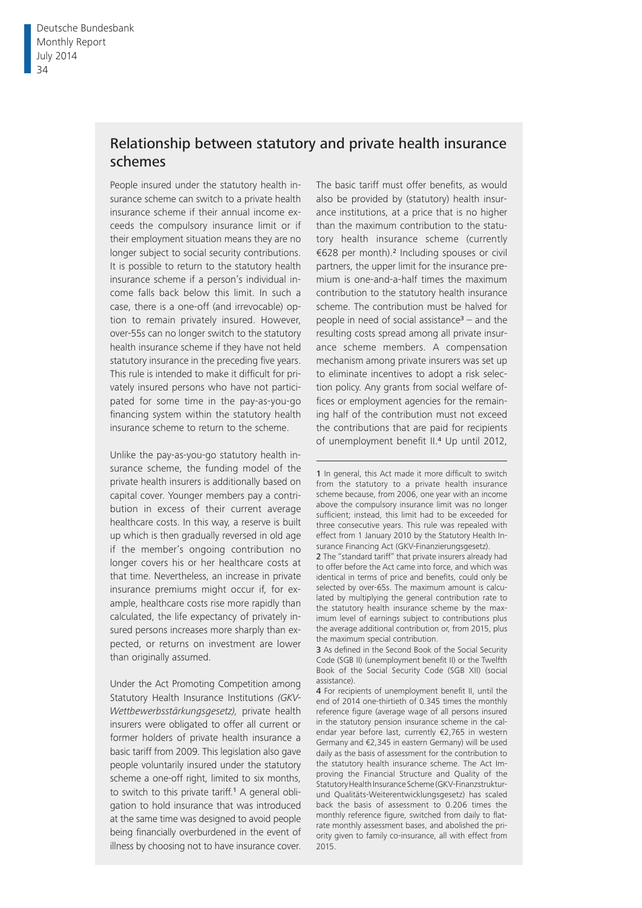# Relationship between statutory and private health insurance schemes

People insured under the statutory health insurance scheme can switch to a private health insurance scheme if their annual income exceeds the compulsory insurance limit or if their employment situation means they are no longer subject to social security contributions. It is possible to return to the statutory health insurance scheme if a person's individual income falls back below this limit. In such a case, there is a one-off (and irrevocable) option to remain privately insured. However, over-55s can no longer switch to the statutory health insurance scheme if they have not held statutory insurance in the preceding five years. This rule is intended to make it difficult for privately insured persons who have not participated for some time in the pay-as-you-go financing system within the statutory health insurance scheme to return to the scheme.

Unlike the pay-as-you-go statutory health insurance scheme, the funding model of the private health insurers is additionally based on capital cover. Younger members pay a contribution in excess of their current average healthcare costs. In this way, a reserve is built up which is then gradually reversed in old age if the member's ongoing contribution no longer covers his or her healthcare costs at that time. Nevertheless, an increase in private insurance premiums might occur if, for example, healthcare costs rise more rapidly than calculated, the life expectancy of privately insured persons increases more sharply than expected, or returns on investment are lower than originally assumed.

Under the Act Promoting Competition among Statutory Health Insurance Institutions *(GKV-Wettbewerbsstärkungsgesetz),* private health insurers were obligated to offer all current or former holders of private health insurance a basic tariff from 2009. This legislation also gave people voluntarily insured under the statutory scheme a one-off right, limited to six months, to switch to this private tariff.1 A general obligation to hold insurance that was introduced at the same time was designed to avoid people being financially overburdened in the event of illness by choosing not to have insurance cover.

The basic tariff must offer benefits, as would also be provided by (statutory) health insurance institutions, at a price that is no higher than the maximum contribution to the statutory health insurance scheme (currently €628 per month).2 Including spouses or civil partners, the upper limit for the insurance premium is one-and-a-half times the maximum contribution to the statutory health insurance scheme. The contribution must be halved for people in need of social assistance<sup>3</sup> – and the resulting costs spread among all private insurance scheme members. A compensation mechanism among private insurers was set up to eliminate incentives to adopt a risk selection policy. Any grants from social welfare offices or employment agencies for the remaining half of the contribution must not exceed the contributions that are paid for recipients of unemployment benefit II.<sup>4</sup> Up until 2012,

3 As defined in the Second Book of the Social Security Code (SGB II) (unemployment benefit II) or the Twelfth Book of the Social Security Code (SGB XII) (social assistance).

4 For recipients of unemployment benefit II, until the end of 2014 one-thirtieth of 0.345 times the monthly reference figure (average wage of all persons insured in the statutory pension insurance scheme in the calendar year before last, currently €2,765 in western Germany and €2,345 in eastern Germany) will be used daily as the basis of assessment for the contribution to the statutory health insurance scheme. The Act Improving the Financial Structure and Quality of the Statutory Health Insurance Scheme (GKV-Finanz strukturund Qualitäts-Weiterentwicklungsgesetz) has scaled back the basis of assessment to 0.206 times the monthly reference figure, switched from daily to flatrate monthly assessment bases, and abolished the priority given to family co-insurance, all with effect from 2015.

<sup>1</sup> In general, this Act made it more difficult to switch from the statutory to a private health insurance scheme because, from 2006, one year with an income above the compulsory insurance limit was no longer sufficient; instead, this limit had to be exceeded for three consecutive years. This rule was repealed with effect from 1 January 2010 by the Statutory Health Insurance Financing Act (GKV-Finanzierungsgesetz).

<sup>2</sup> The "standard tariff" that private insurers already had to offer before the Act came into force, and which was identical in terms of price and benefits, could only be selected by over-65s. The maximum amount is calculated by multiplying the general contribution rate to the statutory health insurance scheme by the maximum level of earnings subject to contributions plus the average additional contribution or, from 2015, plus the maximum special contribution.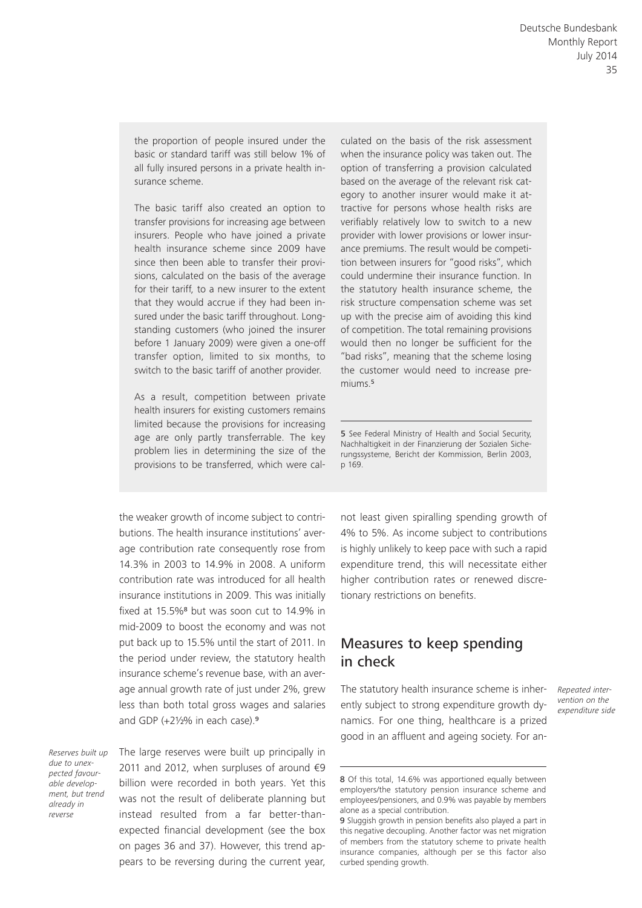the proportion of people insured under the basic or standard tariff was still below 1% of all fully insured persons in a private health insurance scheme.

The basic tariff also created an option to transfer provisions for increasing age between insurers. People who have joined a private health insurance scheme since 2009 have since then been able to transfer their provisions, calculated on the basis of the average for their tariff, to a new insurer to the extent that they would accrue if they had been insured under the basic tariff throughout. Longstanding customers (who joined the insurer before 1 January 2009) were given a one-off transfer option, limited to six months, to switch to the basic tariff of another provider.

As a result, competition between private health insurers for existing customers remains limited because the provisions for increasing age are only partly transferrable. The key problem lies in determining the size of the provisions to be transferred, which were cal-

the weaker growth of income subject to contributions. The health insurance institutions' average contribution rate consequently rose from 14.3% in 2003 to 14.9% in 2008. A uniform contribution rate was introduced for all health insurance institutions in 2009. This was initially fixed at 15.5%8 but was soon cut to 14.9% in mid-2009 to boost the economy and was not put back up to 15.5% until the start of 2011. In the period under review, the statutory health insurance scheme's revenue base, with an average annual growth rate of just under 2%, grew less than both total gross wages and salaries and GDP (+2½% in each case).<sup>9</sup>

*Reserves built up due to unexpected favourable development, but trend already in reverse*

The large reserves were built up principally in 2011 and 2012, when surpluses of around  $€9$ billion were recorded in both years. Yet this was not the result of deliberate planning but instead resulted from a far better-thanexpected financial development (see the box on pages 36 and 37). However, this trend appears to be reversing during the current year,

culated on the basis of the risk assessment when the insurance policy was taken out. The option of transferring a provision calculated based on the average of the relevant risk category to another insurer would make it attractive for persons whose health risks are verifiably relatively low to switch to a new provider with lower provisions or lower insurance premiums. The result would be competition between insurers for "good risks", which could undermine their insurance function. In the statutory health insurance scheme, the risk structure compensation scheme was set up with the precise aim of avoiding this kind of competition. The total remaining provisions would then no longer be sufficient for the "bad risks", meaning that the scheme losing the customer would need to increase premiums.<sup>5</sup>

5 See Federal Ministry of Health and Social Security. Nachhaltigkeit in der Finanzierung der Sozialen Sicherungssysteme, Bericht der Kommission, Berlin 2003, p 169.

not least given spiralling spending growth of 4% to 5%. As income subject to contributions is highly unlikely to keep pace with such a rapid expenditure trend, this will necessitate either higher contribution rates or renewed discretionary restrictions on benefits.

# Measures to keep spending in check

The statutory health insurance scheme is inherently subject to strong expenditure growth dynamics. For one thing, healthcare is a prized good in an affluent and ageing society. For an*Repeated intervention on the expenditure side*

<sup>8</sup> Of this total, 14.6% was apportioned equally between employers/the statutory pension insurance scheme and employees/pensioners, and 0.9% was payable by members alone as a special contribution.

<sup>9</sup> Sluggish growth in pension benefits also played a part in this negative decoupling. Another factor was net migration of members from the statutory scheme to private health insurance companies, although per se this factor also curbed spending growth.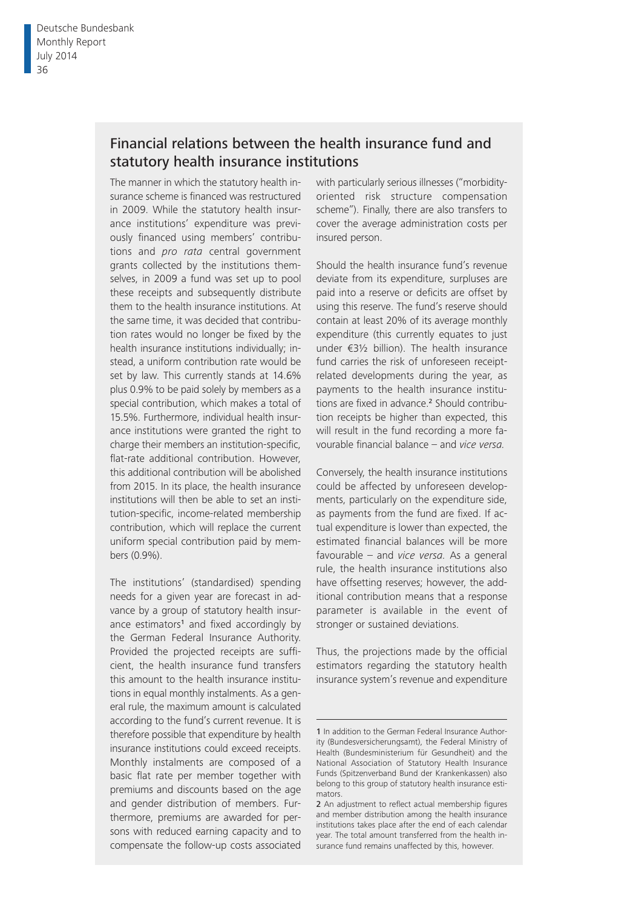# Financial relations between the health insurance fund and statutory health insurance institutions

The manner in which the statutory health insurance scheme is financed was restructured in 2009. While the statutory health insurance institutions' expenditure was previously financed using members' contributions and *pro rata* central government grants collected by the institutions themselves, in 2009 a fund was set up to pool these receipts and subsequently distribute them to the health insurance institutions. At the same time, it was decided that contribution rates would no longer be fixed by the health insurance institutions individually; instead, a uniform contribution rate would be set by law. This currently stands at 14.6% plus 0.9% to be paid solely by members as a special contribution, which makes a total of 15.5%. Furthermore, individual health insurance institutions were granted the right to charge their members an institution-specific, flat-rate additional contribution. However, this additional contribution will be abolished from 2015. In its place, the health insurance institutions will then be able to set an institution-specific, income-related membership contribution, which will replace the current uniform special contribution paid by members (0.9%).

The institutions' (standardised) spending needs for a given year are forecast in advance by a group of statutory health insurance estimators<sup>1</sup> and fixed accordingly by the German Federal Insurance Authority. Provided the projected receipts are sufficient, the health insurance fund transfers this amount to the health insurance institutions in equal monthly instalments. As a general rule, the maximum amount is calculated according to the fund's current revenue. It is therefore possible that expenditure by health insurance institutions could exceed receipts. Monthly instalments are composed of a basic flat rate per member together with premiums and discounts based on the age and gender distribution of members. Furthermore, premiums are awarded for persons with reduced earning capacity and to compensate the follow-up costs associated

with particularly serious illnesses ("morbidityoriented risk structure compensation scheme"). Finally, there are also transfers to cover the average administration costs per insured person.

Should the health insurance fund's revenue deviate from its expenditure, surpluses are paid into a reserve or deficits are offset by using this reserve. The fund's reserve should contain at least 20% of its average monthly expenditure (this currently equates to just under €3½ billion). The health insurance fund carries the risk of unforeseen receiptrelated developments during the year, as payments to the health insurance institutions are fixed in advance.<sup>2</sup> Should contribution receipts be higher than expected, this will result in the fund recording a more favourable financial balance – and *vice versa*.

Conversely, the health insurance institutions could be affected by unforeseen developments, particularly on the expenditure side, as payments from the fund are fixed. If actual expenditure is lower than expected, the estimated financial balances will be more favourable – and *vice versa.* As a general rule, the health insurance institutions also have offsetting reserves; however, the additional contribution means that a response parameter is available in the event of stronger or sustained deviations.

Thus, the projections made by the official estimators regarding the statutory health insurance system's revenue and expenditure

<sup>1</sup> In addition to the German Federal Insurance Authority (Bundesversicherungsamt), the Federal Ministry of Health (Bundesministerium für Gesundheit) and the National Association of Statutory Health Insurance Funds (Spitzenverband Bund der Krankenkassen) also belong to this group of statutory health insurance estimators.

<sup>2</sup> An adjustment to reflect actual membership figures and member distribution among the health insurance institutions takes place after the end of each calendar year. The total amount transferred from the health insurance fund remains unaffected by this, however.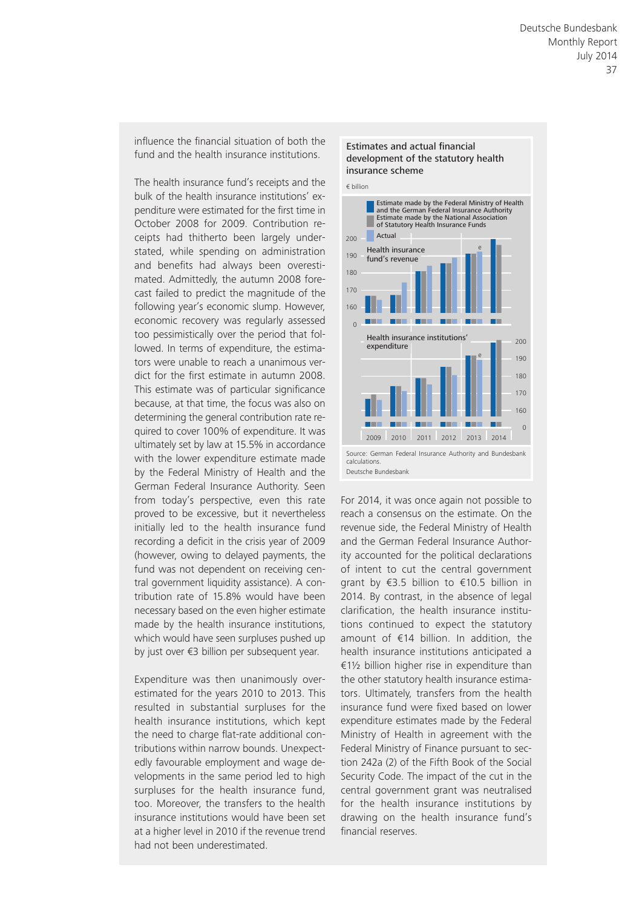influence the financial situation of both the fund and the health insurance institutions.

The health insurance fund's receipts and the bulk of the health insurance institutions' expenditure were estimated for the first time in October 2008 for 2009. Contribution receipts had thitherto been largely understated, while spending on administration and benefits had always been overestimated. Admittedly, the autumn 2008 forecast failed to predict the magnitude of the following year's economic slump. However, economic recovery was regularly assessed too pessimistically over the period that followed. In terms of expenditure, the estimators were unable to reach a unanimous verdict for the first estimate in autumn 2008. This estimate was of particular significance because, at that time, the focus was also on determining the general contribution rate required to cover 100% of expenditure. It was ultimately set by law at 15.5% in accordance with the lower expenditure estimate made by the Federal Ministry of Health and the German Federal Insurance Authority. Seen from today's perspective, even this rate proved to be excessive, but it nevertheless initially led to the health insurance fund recording a deficit in the crisis year of 2009 (however, owing to delayed payments, the fund was not dependent on receiving central government liquidity assistance). A contribution rate of 15.8% would have been necessary based on the even higher estimate made by the health insurance institutions, which would have seen surpluses pushed up by just over €3 billion per subsequent year.

Expenditure was then unanimously overestimated for the years 2010 to 2013. This resulted in substantial surpluses for the health insurance institutions, which kept the need to charge flat-rate additional contributions within narrow bounds. Unexpectedly favourable employment and wage developments in the same period led to high surpluses for the health insurance fund. too. Moreover, the transfers to the health insurance institutions would have been set at a higher level in 2010 if the revenue trend had not been underestimated.

#### Estimates and actual financial development of the statutory health insurance scheme



For 2014, it was once again not possible to reach a consensus on the estimate. On the revenue side, the Federal Ministry of Health and the German Federal Insurance Authority accounted for the political declarations of intent to cut the central government grant by €3.5 billion to €10.5 billion in 2014. By contrast, in the absence of legal clarification, the health insurance institutions continued to expect the statutory amount of €14 billion. In addition, the health insurance institutions anticipated a €1½ billion higher rise in expenditure than the other statutory health insurance estimators. Ultimately, transfers from the health insurance fund were fixed based on lower expenditure estimates made by the Federal Ministry of Health in agreement with the Federal Ministry of Finance pursuant to section 242a (2) of the Fifth Book of the Social Security Code. The impact of the cut in the central government grant was neutralised for the health insurance institutions by drawing on the health insurance fund's financial reserves.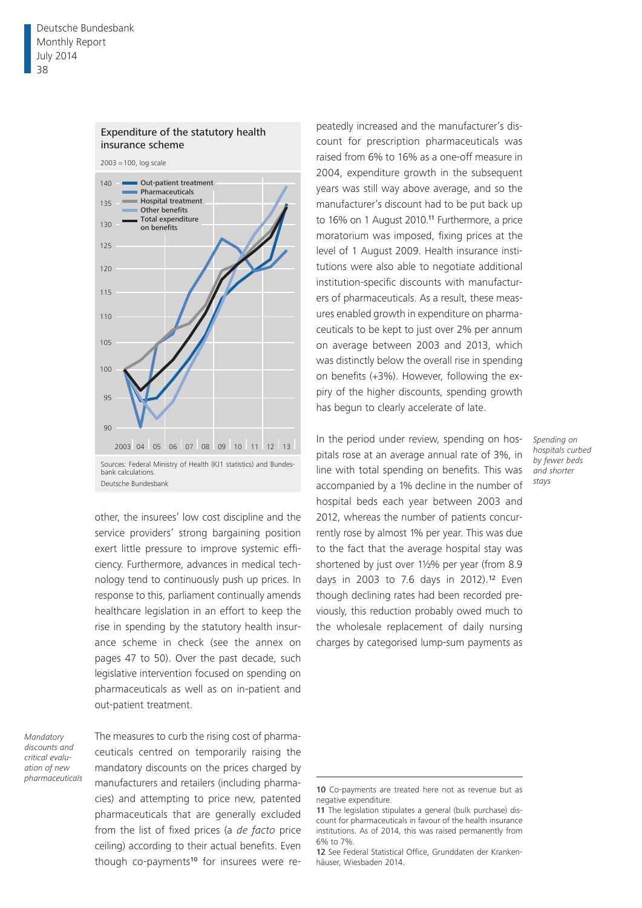

#### Expenditure of the statutory health insurance scheme

other, the insurees' low cost discipline and the service providers' strong bargaining position exert little pressure to improve systemic efficiency. Furthermore, advances in medical technology tend to continuously push up prices. In response to this, parliament continually amends healthcare legislation in an effort to keep the rise in spending by the statutory health insurance scheme in check (see the annex on pages 47 to 50). Over the past decade, such legislative intervention focused on spending on pharmaceuticals as well as on in-patient and out-patient treatment.

*Mandatory discounts and critical evaluation of new pharmaceuticals* The measures to curb the rising cost of pharmaceuticals centred on temporarily raising the mandatory discounts on the prices charged by manufacturers and retailers (including pharmacies) and attempting to price new, patented pharmaceuticals that are generally excluded from the list of fixed prices (a *de facto* price ceiling) according to their actual benefits. Even though co-payments<sup>10</sup> for insurees were re-

peatedly increased and the manufacturer's discount for prescription pharmaceuticals was raised from 6% to 16% as a one-off measure in 2004, expenditure growth in the subsequent years was still way above average, and so the manufacturer's discount had to be put back up to 16% on 1 August 2010.<sup>11</sup> Furthermore, a price moratorium was imposed, fixing prices at the level of 1 August 2009. Health insurance institutions were also able to negotiate additional institution-specific discounts with manufacturers of pharmaceuticals. As a result, these measures enabled growth in expenditure on pharmaceuticals to be kept to just over 2% per annum on average between 2003 and 2013, which was distinctly below the overall rise in spending on benefits (+3%). However, following the expiry of the higher discounts, spending growth has begun to clearly accelerate of late.

In the period under review, spending on hospitals rose at an average annual rate of 3%, in line with total spending on benefits. This was accompanied by a 1% decline in the number of hospital beds each year between 2003 and 2012, whereas the number of patients concurrently rose by almost 1% per year. This was due to the fact that the average hospital stay was shortened by just over 1½% per year (from 8.9 days in 2003 to 7.6 days in 2012).12 Even though declining rates had been recorded previously, this reduction probably owed much to the wholesale replacement of daily nursing charges by categorised lump-sum payments as

*Spending on hospitals curbed by fewer beds and shorter stays*

<sup>10</sup> Co-payments are treated here not as revenue but as negative expenditure.

<sup>11</sup> The legislation stipulates a general (bulk purchase) discount for pharmaceuticals in favour of the health insurance institutions. As of 2014, this was raised permanently from 6% to 7%.

<sup>12</sup> See Federal Statistical Office, Grunddaten der Krankenhäuser, Wiesbaden 2014.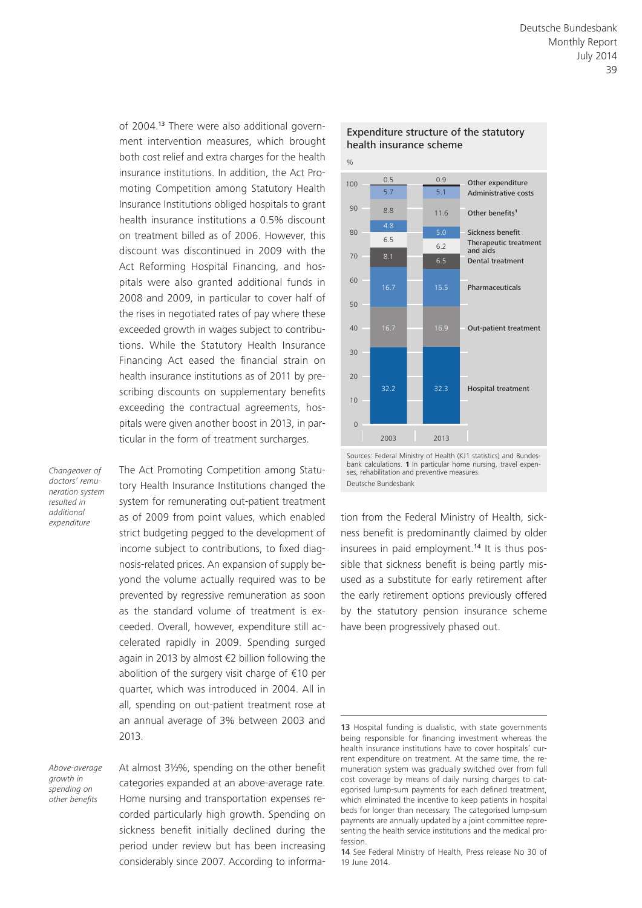of 2004.13 There were also additional government intervention measures, which brought both cost relief and extra charges for the health insurance institutions. In addition, the Act Promoting Competition among Statutory Health Insurance Institutions obliged hospitals to grant health insurance institutions a 0.5% discount on treatment billed as of 2006. However, this discount was discontinued in 2009 with the Act Reforming Hospital Financing, and hospitals were also granted additional funds in 2008 and 2009, in particular to cover half of the rises in negotiated rates of pay where these exceeded growth in wages subject to contributions. While the Statutory Health Insurance Financing Act eased the financial strain on health insurance institutions as of 2011 by prescribing discounts on supplementary benefits exceeding the contractual agreements, hospitals were given another boost in 2013, in particular in the form of treatment surcharges.

*Changeover of doctors' remuneration system resulted in additional expenditure*

The Act Promoting Competition among Statutory Health Insurance Institutions changed the system for remunerating out-patient treatment as of 2009 from point values, which enabled strict budgeting pegged to the development of income subject to contributions, to fixed diagnosis-related prices. An expansion of supply beyond the volume actually required was to be prevented by regressive remuneration as soon as the standard volume of treatment is exceeded. Overall, however, expenditure still accelerated rapidly in 2009. Spending surged again in 2013 by almost €2 billion following the abolition of the surgery visit charge of €10 per quarter, which was introduced in 2004. All in all, spending on out-patient treatment rose at an annual average of 3% between 2003 and 2013.

*Above-average growth in spending on other benefits*

At almost 3½%, spending on the other benefit categories expanded at an above-average rate. Home nursing and transportation expenses recorded particularly high growth. Spending on sickness benefit initially declined during the period under review but has been increasing considerably since 2007. According to informa-



#### Expenditure structure of the statutory health insurance scheme

Sources: Federal Ministry of Health (KJ1 statistics) and Bundesbank calculations. **1** In particular home nursing, travel expenses, rehabilitation and preventive measures. Deutsche Bundesbank

tion from the Federal Ministry of Health, sickness benefit is predominantly claimed by older insurees in paid employment.14 It is thus possible that sickness benefit is being partly misused as a substitute for early retirement after the early retirement options previously offered by the statutory pension insurance scheme have been progressively phased out.

<sup>13</sup> Hospital funding is dualistic, with state governments being responsible for financing investment whereas the health insurance institutions have to cover hospitals' current expenditure on treatment. At the same time, the remuneration system was gradually switched over from full cost coverage by means of daily nursing charges to categorised lump-sum payments for each defined treatment, which eliminated the incentive to keep patients in hospital beds for longer than necessary. The categorised lump-sum payments are annually updated by a joint committee representing the health service institutions and the medical profession.

<sup>14</sup> See Federal Ministry of Health, Press release No 30 of 19 June 2014.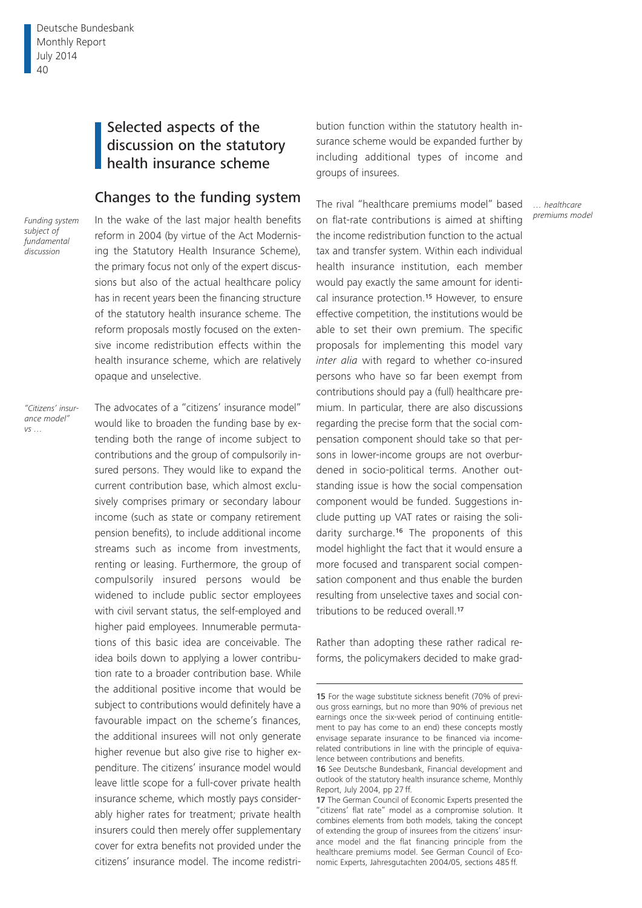Deutsche Bundesbank Monthly Report July 2014 40

# Selected aspects of the discussion on the statutory health insurance scheme

### Changes to the funding system

*Funding system subject of fundamental discussion*

In the wake of the last major health benefits reform in 2004 (by virtue of the Act Modernising the Statutory Health Insurance Scheme), the primary focus not only of the expert discussions but also of the actual healthcare policy has in recent years been the financing structure of the statutory health insurance scheme. The reform proposals mostly focused on the extensive income redistribution effects within the health insurance scheme, which are relatively opaque and unselective.

*"Citizens' insurance model" vs …*

The advocates of a "citizens' insurance model" would like to broaden the funding base by extending both the range of income subject to contributions and the group of compulsorily insured persons. They would like to expand the current contribution base, which almost exclusively comprises primary or secondary labour income (such as state or company retirement pension benefits), to include additional income streams such as income from investments, renting or leasing. Furthermore, the group of compulsorily insured persons would be widened to include public sector employees with civil servant status, the self-employed and higher paid employees. Innumerable permutations of this basic idea are conceivable. The idea boils down to applying a lower contribution rate to a broader contribution base. While the additional positive income that would be subject to contributions would definitely have a favourable impact on the scheme's finances, the additional insurees will not only generate higher revenue but also give rise to higher expenditure. The citizens' insurance model would leave little scope for a full-cover private health insurance scheme, which mostly pays considerably higher rates for treatment; private health insurers could then merely offer supplementary cover for extra benefits not provided under the citizens' insurance model. The income redistri-

bution function within the statutory health insurance scheme would be expanded further by including additional types of income and groups of insurees.

The rival "healthcare premiums model" based on flat-rate contributions is aimed at shifting the income redistribution function to the actual tax and transfer system. Within each individual health insurance institution, each member would pay exactly the same amount for identical insurance protection.<sup>15</sup> However, to ensure effective competition, the institutions would be able to set their own premium. The specific proposals for implementing this model vary *inter alia* with regard to whether co-insured persons who have so far been exempt from contributions should pay a (full) healthcare premium. In particular, there are also discussions regarding the precise form that the social compensation component should take so that persons in lower-income groups are not overburdened in socio-political terms. Another outstanding issue is how the social compensation component would be funded. Suggestions include putting up VAT rates or raising the solidarity surcharge.16 The proponents of this model highlight the fact that it would ensure a more focused and transparent social compensation component and thus enable the burden resulting from unselective taxes and social contributions to be reduced overall.<sup>17</sup>

Rather than adopting these rather radical reforms, the policymakers decided to make grad-

*… healthcare premiums model*

<sup>15</sup> For the wage substitute sickness benefit (70% of previous gross earnings, but no more than 90% of previous net earnings once the six-week period of continuing entitlement to pay has come to an end) these concepts mostly envisage separate insurance to be financed via incomerelated contributions in line with the principle of equivalence between contributions and benefits.

<sup>16</sup> See Deutsche Bundesbank, Financial development and outlook of the statutory health insurance scheme, Monthly Report, July 2004, pp 27 ff.

<sup>17</sup> The German Council of Economic Experts presented the "citizens' flat rate" model as a compromise solution. It combines elements from both models, taking the concept of extending the group of insurees from the citizens' insurance model and the flat financing principle from the healthcare premiums model. See German Council of Economic Experts, Jahresgutachten 2004/05, sections 485ff.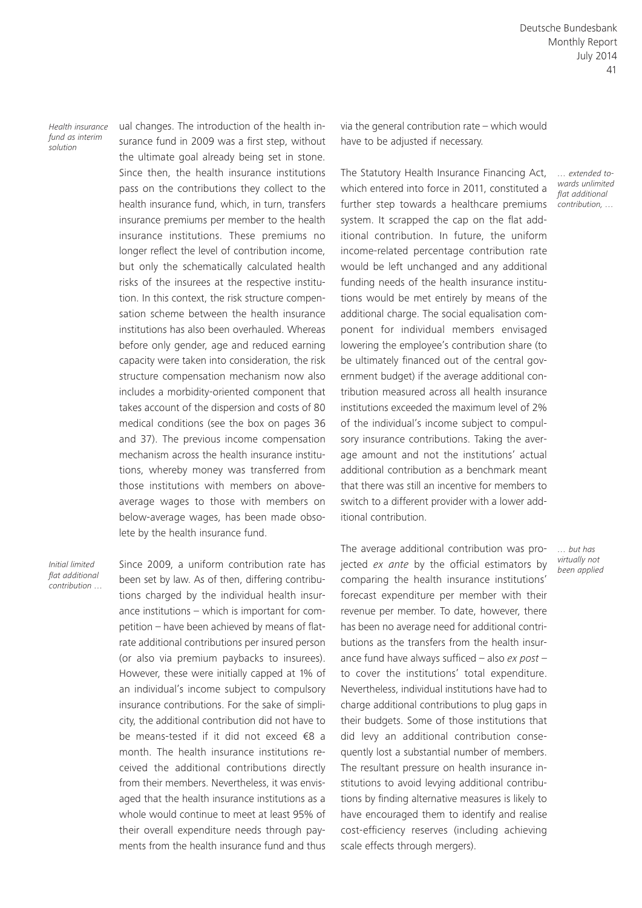Deutsche Bundesbank Monthly Report July 2014 41

*Health insurance fund as interim solution*

ual changes. The introduction of the health insurance fund in 2009 was a first step, without the ultimate goal already being set in stone. Since then, the health insurance institutions pass on the contributions they collect to the health insurance fund, which, in turn, transfers insurance premiums per member to the health insurance institutions. These premiums no longer reflect the level of contribution income, but only the schematically calculated health risks of the insurees at the respective institution. In this context, the risk structure compensation scheme between the health insurance institutions has also been overhauled. Whereas before only gender, age and reduced earning capacity were taken into consideration, the risk structure compensation mechanism now also includes a morbidity-oriented component that takes account of the dispersion and costs of 80 medical conditions (see the box on pages 36 and 37). The previous income compensation mechanism across the health insurance institutions, whereby money was transferred from those institutions with members on aboveaverage wages to those with members on below-average wages, has been made obsolete by the health insurance fund.

*Initial limited flat additional contribution …* Since 2009, a uniform contribution rate has been set by law. As of then, differing contributions charged by the individual health insurance institutions – which is important for competition – have been achieved by means of flatrate additional contributions per insured person (or also via premium paybacks to insurees). However, these were initially capped at 1% of an individual's income subject to compulsory insurance contributions. For the sake of simplicity, the additional contribution did not have to be means-tested if it did not exceed €8 a month. The health insurance institutions received the additional contributions directly from their members. Nevertheless, it was envisaged that the health insurance institutions as a whole would continue to meet at least 95% of their overall expenditure needs through payments from the health insurance fund and thus via the general contribution rate – which would have to be adjusted if necessary.

The Statutory Health Insurance Financing Act, which entered into force in 2011, constituted a further step towards a healthcare premiums system. It scrapped the cap on the flat additional contribution. In future, the uniform income-related percentage contribution rate would be left unchanged and any additional funding needs of the health insurance institutions would be met entirely by means of the additional charge. The social equalisation component for individual members envisaged lowering the employee's contribution share (to be ultimately financed out of the central government budget) if the average additional contribution measured across all health insurance institutions exceeded the maximum level of 2% of the individual's income subject to compulsory insurance contributions. Taking the average amount and not the institutions' actual additional contribution as a benchmark meant that there was still an incentive for members to switch to a different provider with a lower additional contribution.

The average additional contribution was projected *ex ante* by the official estimators by comparing the health insurance institutions' forecast expenditure per member with their revenue per member. To date, however, there has been no average need for additional contributions as the transfers from the health insurance fund have always sufficed – also *ex post* – to cover the institutions' total expenditure. Nevertheless, individual institutions have had to charge additional contributions to plug gaps in their budgets. Some of those institutions that did levy an additional contribution consequently lost a substantial number of members. The resultant pressure on health insurance institutions to avoid levying additional contributions by finding alternative measures is likely to have encouraged them to identify and realise cost-efficiency reserves (including achieving scale effects through mergers).

*… extended towards unlimited flat additional contribution, …*

*… but has virtually not been applied*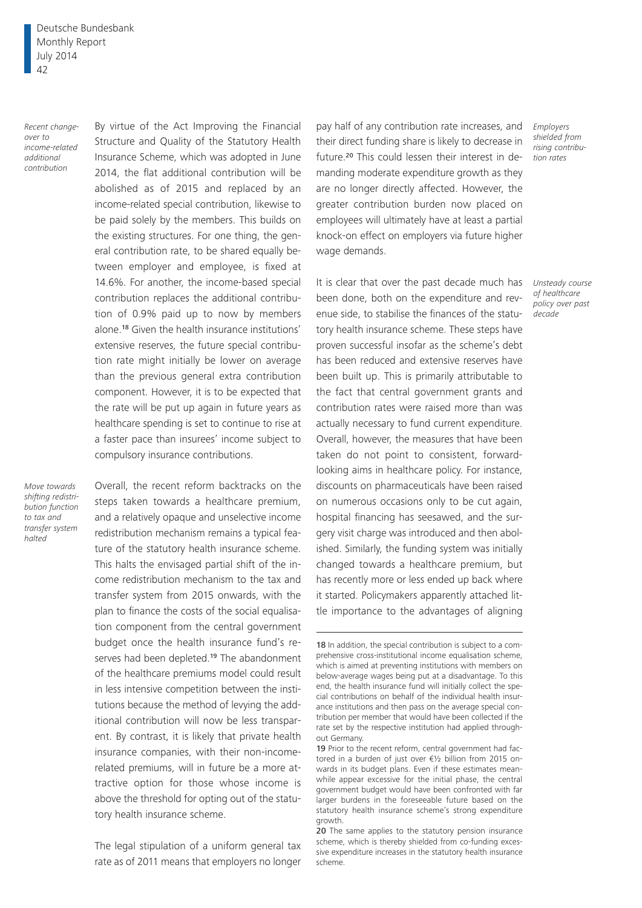Deutsche Bundesbank Monthly Report July 2014 42

*Recent changeover to income-related additional contribution*

By virtue of the Act Improving the Financial Structure and Quality of the Statutory Health Insurance Scheme, which was adopted in June 2014, the flat additional contribution will be abolished as of 2015 and replaced by an income-related special contribution, likewise to be paid solely by the members. This builds on the existing structures. For one thing, the general contribution rate, to be shared equally between employer and employee, is fixed at 14.6%. For another, the income-based special contribution replaces the additional contribution of 0.9% paid up to now by members alone.18 Given the health insurance institutions' extensive reserves, the future special contribution rate might initially be lower on average than the previous general extra contribution component. However, it is to be expected that the rate will be put up again in future years as healthcare spending is set to continue to rise at a faster pace than insurees' income subject to compulsory insurance contributions.

*Move towards shifting redistribution function to tax and transfer system halted*

Overall, the recent reform backtracks on the steps taken towards a healthcare premium, and a relatively opaque and unselective income redistribution mechanism remains a typical feature of the statutory health insurance scheme. This halts the envisaged partial shift of the income redistribution mechanism to the tax and transfer system from 2015 onwards, with the plan to finance the costs of the social equalisation component from the central government budget once the health insurance fund's reserves had been depleted.<sup>19</sup> The abandonment of the healthcare premiums model could result in less intensive competition between the institutions because the method of levying the additional contribution will now be less transparent. By contrast, it is likely that private health insurance companies, with their non-incomerelated premiums, will in future be a more attractive option for those whose income is above the threshold for opting out of the statutory health insurance scheme.

The legal stipulation of a uniform general tax rate as of 2011 means that employers no longer

pay half of any contribution rate increases, and *Employers*  their direct funding share is likely to decrease in future.20 This could lessen their interest in demanding moderate expenditure growth as they are no longer directly affected. However, the greater contribution burden now placed on employees will ultimately have at least a partial knock-on effect on employers via future higher wage demands.

It is clear that over the past decade much has been done, both on the expenditure and revenue side, to stabilise the finances of the statutory health insurance scheme. These steps have proven successful insofar as the scheme's debt has been reduced and extensive reserves have been built up. This is primarily attributable to the fact that central government grants and contribution rates were raised more than was actually necessary to fund current expenditure. Overall, however, the measures that have been taken do not point to consistent, forwardlooking aims in healthcare policy. For instance, discounts on pharmaceuticals have been raised on numerous occasions only to be cut again, hospital financing has seesawed, and the surgery visit charge was introduced and then abolished. Similarly, the funding system was initially changed towards a healthcare premium, but has recently more or less ended up back where it started. Policymakers apparently attached little importance to the advantages of aligning

*shielded from rising contribution rates*

*Unsteady course of healthcare policy over past decade*

<sup>18</sup> In addition, the special contribution is subject to a comprehensive cross-institutional income equalisation scheme, which is aimed at preventing institutions with members on below-average wages being put at a disadvantage. To this end, the health insurance fund will initially collect the special contributions on behalf of the individual health insurance institutions and then pass on the average special contribution per member that would have been collected if the rate set by the respective institution had applied throughout Germany.

<sup>19</sup> Prior to the recent reform, central government had factored in a burden of just over €½ billion from 2015 onwards in its budget plans. Even if these estimates meanwhile appear excessive for the initial phase, the central government budget would have been confronted with far larger burdens in the foreseeable future based on the statutory health insurance scheme's strong expenditure growth.

<sup>20</sup> The same applies to the statutory pension insurance scheme, which is thereby shielded from co-funding excessive expenditure increases in the statutory health insurance scheme.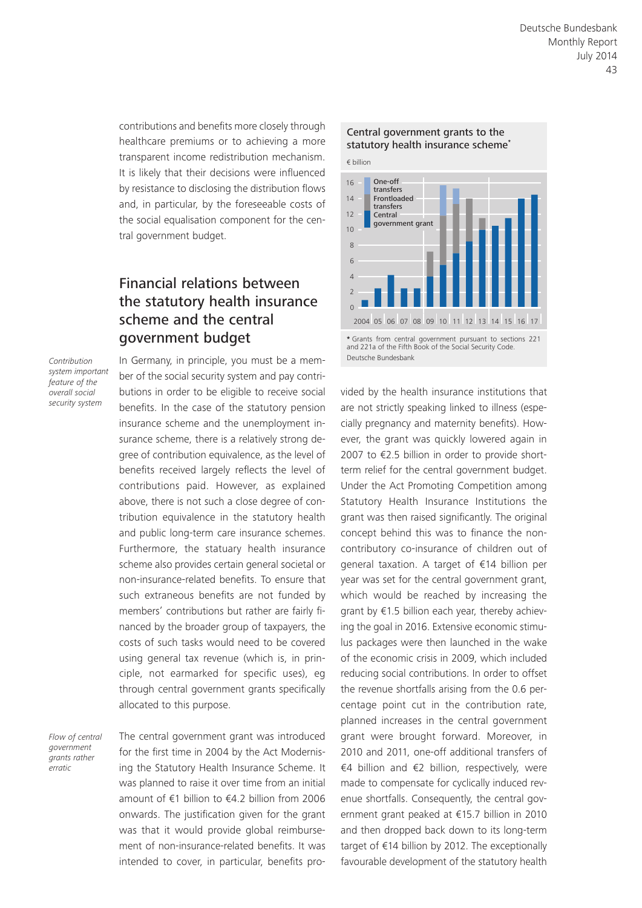contributions and benefits more closely through healthcare premiums or to achieving a more transparent income redistribution mechanism. It is likely that their decisions were influenced by resistance to disclosing the distribution flows and, in particular, by the foreseeable costs of the social equalisation component for the central government budget.

# Financial relations between the statutory health insurance scheme and the central government budget

*Contribution system important feature of the overall social security system*

In Germany, in principle, you must be a member of the social security system and pay contributions in order to be eligible to receive social benefits. In the case of the statutory pension insurance scheme and the unemployment insurance scheme, there is a relatively strong degree of contribution equivalence, as the level of benefits received largely reflects the level of contributions paid. However, as explained above, there is not such a close degree of contribution equivalence in the statutory health and public long-term care insurance schemes. Furthermore, the statuary health insurance scheme also provides certain general societal or non-insurance-related benefits. To ensure that such extraneous benefits are not funded by members' contributions but rather are fairly financed by the broader group of taxpayers, the costs of such tasks would need to be covered using general tax revenue (which is, in principle, not earmarked for specific uses), eg through central government grants specifically allocated to this purpose.

*Flow of central government grants rather erratic*

The central government grant was introduced for the first time in 2004 by the Act Modernising the Statutory Health Insurance Scheme. It was planned to raise it over time from an initial amount of €1 billion to €4.2 billion from 2006 onwards. The justification given for the grant was that it would provide global reimbursement of non-insurance-related benefits. It was intended to cover, in particular, benefits pro-



and 221a of the Fifth Book of the Social Security Code. Deutsche Bundesbank

vided by the health insurance institutions that are not strictly speaking linked to illness (especially pregnancy and maternity benefits). However, the grant was quickly lowered again in 2007 to €2.5 billion in order to provide shortterm relief for the central government budget. Under the Act Promoting Competition among Statutory Health Insurance Institutions the grant was then raised significantly. The original concept behind this was to finance the noncontributory co-insurance of children out of general taxation. A target of €14 billion per year was set for the central government grant, which would be reached by increasing the grant by €1.5 billion each year, thereby achieving the goal in 2016. Extensive economic stimulus packages were then launched in the wake of the economic crisis in 2009, which included reducing social contributions. In order to offset the revenue shortfalls arising from the 0.6 percentage point cut in the contribution rate, planned increases in the central government grant were brought forward. Moreover, in 2010 and 2011, one-off additional transfers of €4 billion and €2 billion, respectively, were made to compensate for cyclically induced revenue shortfalls. Consequently, the central government grant peaked at €15.7 billion in 2010 and then dropped back down to its long-term target of €14 billion by 2012. The exceptionally favourable development of the statutory health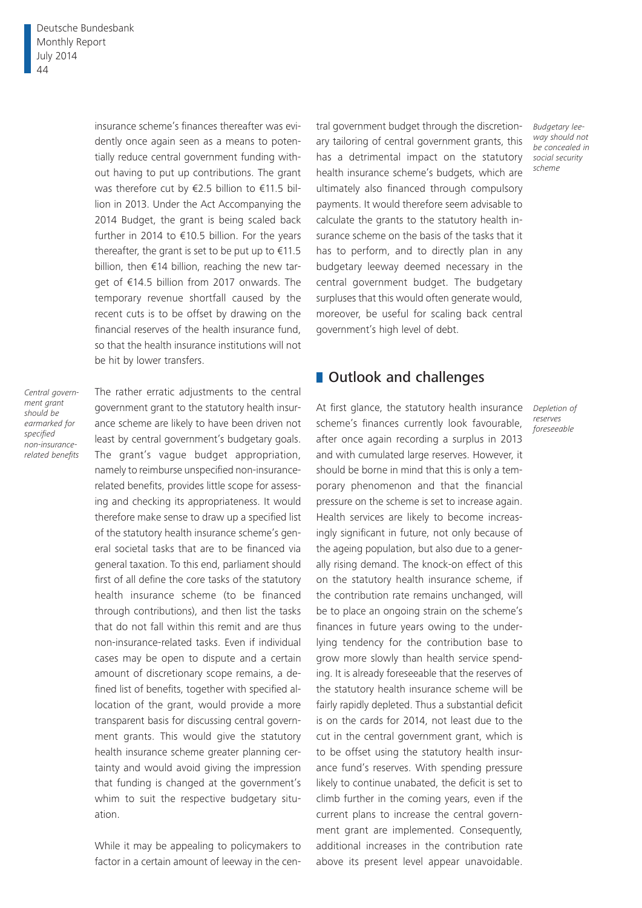insurance scheme's finances thereafter was evidently once again seen as a means to potentially reduce central government funding without having to put up contributions. The grant was therefore cut by €2.5 billion to €11.5 billion in 2013. Under the Act Accompanying the 2014 Budget, the grant is being scaled back further in 2014 to €10.5 billion. For the years thereafter, the grant is set to be put up to  $€11.5$ billion, then €14 billion, reaching the new target of €14.5 billion from 2017 onwards. The temporary revenue shortfall caused by the recent cuts is to be offset by drawing on the financial reserves of the health insurance fund, so that the health insurance institutions will not be hit by lower transfers.

*Central government grant should be earmarked for specified non-insurancerelated benefits* The rather erratic adjustments to the central government grant to the statutory health insurance scheme are likely to have been driven not least by central government's budgetary goals. The grant's vague budget appropriation, namely to reimburse unspecified non-insurancerelated benefits, provides little scope for assessing and checking its appropriateness. It would therefore make sense to draw up a specified list of the statutory health insurance scheme's general societal tasks that are to be financed via general taxation. To this end, parliament should first of all define the core tasks of the statutory health insurance scheme (to be financed through contributions), and then list the tasks that do not fall within this remit and are thus non-insurance-related tasks. Even if individual cases may be open to dispute and a certain amount of discretionary scope remains, a defined list of benefits, together with specified allocation of the grant, would provide a more transparent basis for discussing central government grants. This would give the statutory health insurance scheme greater planning certainty and would avoid giving the impression that funding is changed at the government's whim to suit the respective budgetary situation.

While it may be appealing to policymakers to factor in a certain amount of leeway in the central government budget through the discretionary tailoring of central government grants, this has a detrimental impact on the statutory health insurance scheme's budgets, which are ultimately also financed through compulsory payments. It would therefore seem advisable to calculate the grants to the statutory health insurance scheme on the basis of the tasks that it has to perform, and to directly plan in any budgetary leeway deemed necessary in the central government budget. The budgetary surpluses that this would often generate would, moreover, be useful for scaling back central government's high level of debt.

#### **Outlook and challenges**

At first glance, the statutory health insurance scheme's finances currently look favourable, after once again recording a surplus in 2013 and with cumulated large reserves. However, it should be borne in mind that this is only a temporary phenomenon and that the financial pressure on the scheme is set to increase again. Health services are likely to become increasingly significant in future, not only because of the ageing population, but also due to a generally rising demand. The knock-on effect of this on the statutory health insurance scheme, if the contribution rate remains unchanged, will be to place an ongoing strain on the scheme's finances in future years owing to the underlying tendency for the contribution base to grow more slowly than health service spending. It is already foreseeable that the reserves of the statutory health insurance scheme will be fairly rapidly depleted. Thus a substantial deficit is on the cards for 2014, not least due to the cut in the central government grant, which is to be offset using the statutory health insurance fund's reserves. With spending pressure likely to continue unabated, the deficit is set to climb further in the coming years, even if the current plans to increase the central government grant are implemented. Consequently, additional increases in the contribution rate above its present level appear unavoidable.

*Budgetary leeway should not be concealed in social security scheme*

*Depletion of reserves foreseeable*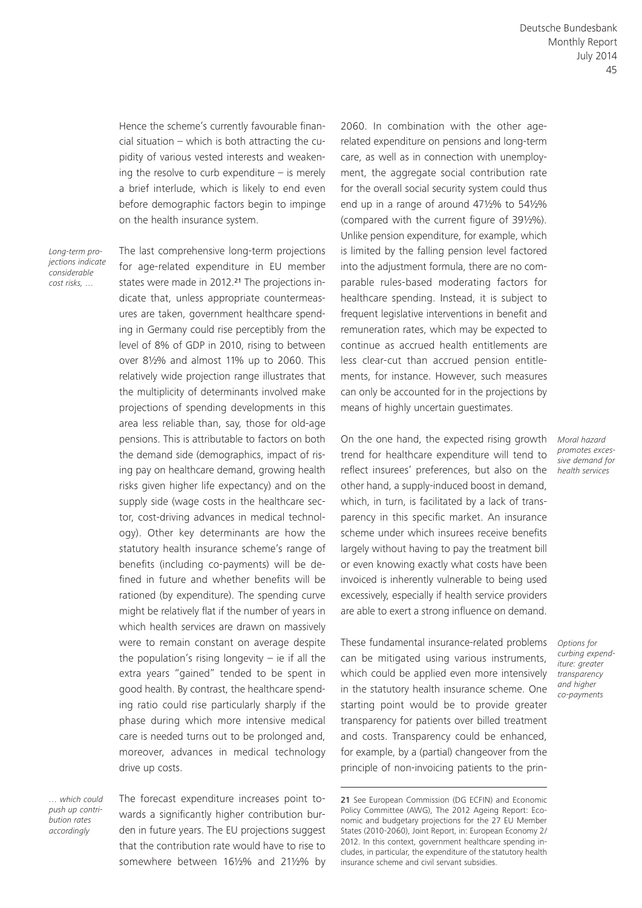Hence the scheme's currently favourable financial situation – which is both attracting the cupidity of various vested interests and weakening the resolve to curb expenditure  $-$  is merely a brief interlude, which is likely to end even before demographic factors begin to impinge on the health insurance system.

*Long-term projections indicate considerable cost risks, …*

The last comprehensive long-term projections for age-related expenditure in EU member states were made in 2012.<sup>21</sup> The projections indicate that, unless appropriate countermeasures are taken, government healthcare spending in Germany could rise perceptibly from the level of 8% of GDP in 2010, rising to between over 8½% and almost 11% up to 2060. This relatively wide projection range illustrates that the multiplicity of determinants involved make projections of spending developments in this area less reliable than, say, those for old-age pensions. This is attributable to factors on both the demand side (demographics, impact of rising pay on healthcare demand, growing health risks given higher life expectancy) and on the supply side (wage costs in the healthcare sector, cost-driving advances in medical technology). Other key determinants are how the statutory health insurance scheme's range of benefits (including co-payments) will be defined in future and whether benefits will be rationed (by expenditure). The spending curve might be relatively flat if the number of years in which health services are drawn on massively were to remain constant on average despite the population's rising longevity  $-$  ie if all the extra years "gained" tended to be spent in good health. By contrast, the healthcare spending ratio could rise particularly sharply if the phase during which more intensive medical care is needed turns out to be prolonged and, moreover, advances in medical technology drive up costs.

*… which could push up contribution rates accordingly*

The forecast expenditure increases point towards a significantly higher contribution burden in future years. The EU projections suggest that the contribution rate would have to rise to somewhere between 16½% and 21½% by

2060. In combination with the other agerelated expenditure on pensions and long-term care, as well as in connection with unemployment, the aggregate social contribution rate for the overall social security system could thus end up in a range of around 47½% to 54½% (compared with the current figure of 39½%). Unlike pension expenditure, for example, which is limited by the falling pension level factored into the adjustment formula, there are no comparable rules-based moderating factors for healthcare spending. Instead, it is subject to frequent legislative interventions in benefit and remuneration rates, which may be expected to continue as accrued health entitlements are less clear-cut than accrued pension entitlements, for instance. However, such measures can only be accounted for in the projections by means of highly uncertain guestimates.

On the one hand, the expected rising growth trend for healthcare expenditure will tend to reflect insurees' preferences, but also on the other hand, a supply-induced boost in demand, which, in turn, is facilitated by a lack of transparency in this specific market. An insurance scheme under which insurees receive benefits largely without having to pay the treatment bill or even knowing exactly what costs have been invoiced is inherently vulnerable to being used excessively, especially if health service providers are able to exert a strong influence on demand.

These fundamental insurance-related problems can be mitigated using various instruments, which could be applied even more intensively in the statutory health insurance scheme. One starting point would be to provide greater transparency for patients over billed treatment and costs. Transparency could be enhanced, for example, by a (partial) changeover from the principle of non-invoicing patients to the prin-

21 See European Commission (DG ECFIN) and Economic Policy Committee (AWG), The 2012 Ageing Report: Economic and budgetary projections for the 27 EU Member States (2010-2060), Joint Report, in: European Economy 2/ 2012. In this context, government healthcare spending includes, in particular, the expenditure of the statutory health insurance scheme and civil servant subsidies.

*Moral hazard promotes excessive demand for health services*

*Options for curbing expenditure: greater transparency and higher co-payments*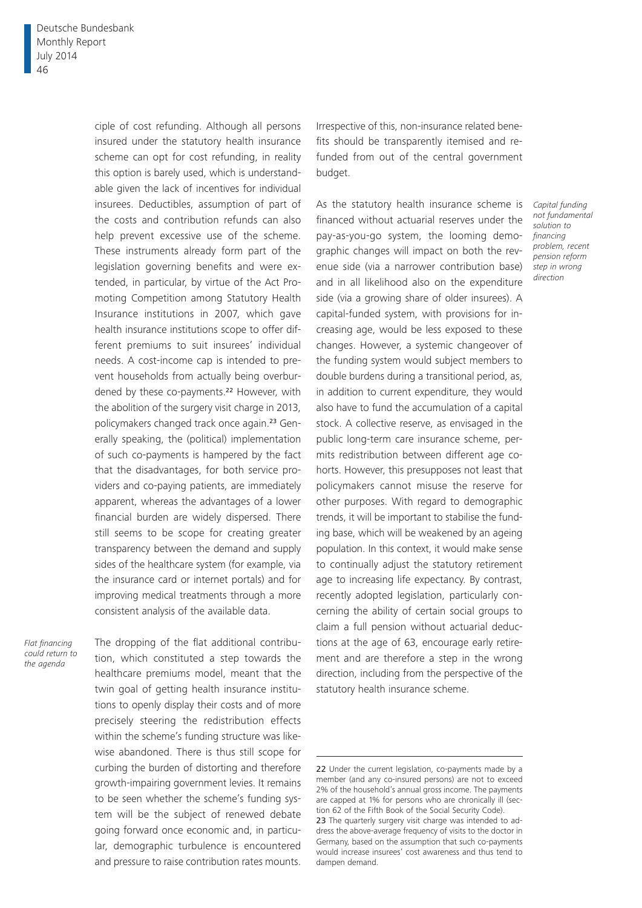ciple of cost refunding. Although all persons insured under the statutory health insurance scheme can opt for cost refunding, in reality this option is barely used, which is understandable given the lack of incentives for individual insurees. Deductibles, assumption of part of the costs and contribution refunds can also help prevent excessive use of the scheme. These instruments already form part of the legislation governing benefits and were extended, in particular, by virtue of the Act Promoting Competition among Statutory Health Insurance institutions in 2007, which gave health insurance institutions scope to offer different premiums to suit insurees' individual needs. A cost-income cap is intended to prevent households from actually being overburdened by these co-payments.<sup>22</sup> However, with the abolition of the surgery visit charge in 2013, policymakers changed track once again.23 Generally speaking, the (political) implementation of such co-payments is hampered by the fact that the disadvantages, for both service providers and co-paying patients, are immediately apparent, whereas the advantages of a lower financial burden are widely dispersed. There still seems to be scope for creating greater transparency between the demand and supply sides of the healthcare system (for example, via the insurance card or internet portals) and for improving medical treatments through a more consistent analysis of the available data.

*Flat financing could return to the agenda*

The dropping of the flat additional contribution, which constituted a step towards the healthcare premiums model, meant that the twin goal of getting health insurance institutions to openly display their costs and of more precisely steering the redistribution effects within the scheme's funding structure was likewise abandoned. There is thus still scope for curbing the burden of distorting and therefore growth-impairing government levies. It remains to be seen whether the scheme's funding system will be the subject of renewed debate going forward once economic and, in particular, demographic turbulence is encountered and pressure to raise contribution rates mounts.

Irrespective of this, non-insurance related benefits should be transparently itemised and refunded from out of the central government budget.

> *Capital funding not fundamental solution to financing problem, recent pension reform step in wrong direction*

As the statutory health insurance scheme is financed without actuarial reserves under the pay-as-you-go system, the looming demographic changes will impact on both the revenue side (via a narrower contribution base) and in all likelihood also on the expenditure side (via a growing share of older insurees). A capital-funded system, with provisions for increasing age, would be less exposed to these changes. However, a systemic changeover of the funding system would subject members to double burdens during a transitional period, as, in addition to current expenditure, they would also have to fund the accumulation of a capital stock. A collective reserve, as envisaged in the public long-term care insurance scheme, permits redistribution between different age cohorts. However, this presupposes not least that policymakers cannot misuse the reserve for other purposes. With regard to demographic trends, it will be important to stabilise the funding base, which will be weakened by an ageing population. In this context, it would make sense to continually adjust the statutory retirement age to increasing life expectancy. By contrast, recently adopted legislation, particularly concerning the ability of certain social groups to claim a full pension without actuarial deductions at the age of 63, encourage early retirement and are therefore a step in the wrong direction, including from the perspective of the statutory health insurance scheme.

<sup>22</sup> Under the current legislation, co-payments made by a member (and any co-insured persons) are not to exceed 2% of the household's annual gross income. The payments are capped at 1% for persons who are chronically ill (section 62 of the Fifth Book of the Social Security Code).

<sup>23</sup> The quarterly surgery visit charge was intended to address the above-average frequency of visits to the doctor in Germany, based on the assumption that such co-payments would increase insurees' cost awareness and thus tend to dampen demand.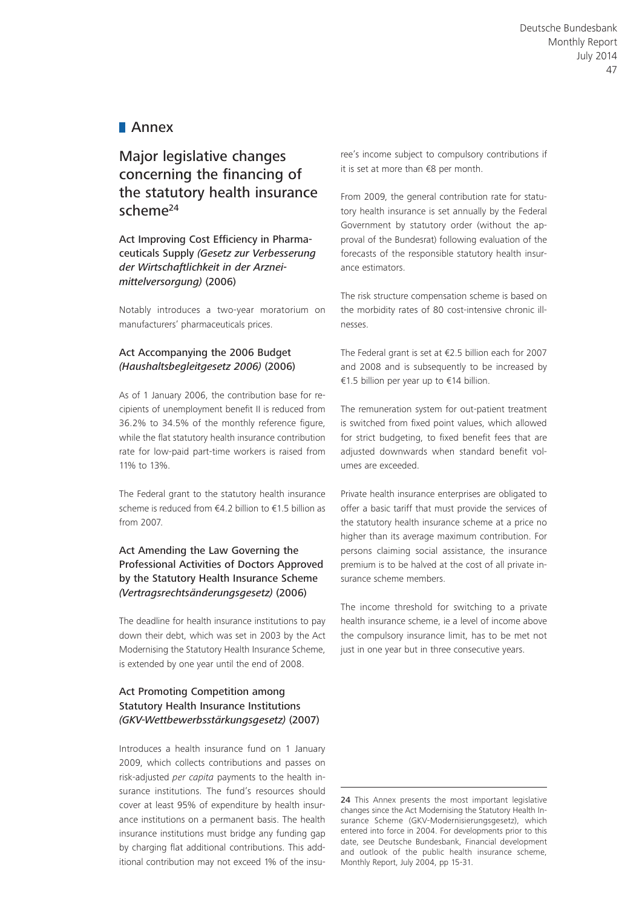## **Annex**

# Major legislative changes concerning the financing of the statutory health insurance scheme<sup>24</sup>

Act Improving Cost Efficiency in Pharmaceuticals Supply *(Gesetz zur Verbesserung der Wirtschaftlichkeit in der Arzneimittelversorgung)* (2006)

Notably introduces a two-year moratorium on manufacturers' pharmaceuticals prices.

#### Act Accompanying the 2006 Budget *(Haushaltsbegleitgesetz 2006)* (2006)

As of 1 January 2006, the contribution base for recipients of unemployment benefit II is reduced from 36.2% to 34.5% of the monthly reference figure, while the flat statutory health insurance contribution rate for low-paid part-time workers is raised from 11% to 13%.

The Federal grant to the statutory health insurance scheme is reduced from €4.2 billion to €1.5 billion as from 2007.

#### Act Amending the Law Governing the Professional Activities of Doctors Approved by the Statutory Health Insurance Scheme *(Vertragsrechtsänderungsgesetz)* (2006)

The deadline for health insurance institutions to pay down their debt, which was set in 2003 by the Act Modernising the Statutory Health Insurance Scheme, is extended by one year until the end of 2008.

#### Act Promoting Competition among Statutory Health Insurance Institutions *(GKV-Wettbewerbsstärkungsgesetz)* (2007)

Introduces a health insurance fund on 1 January 2009, which collects contributions and passes on risk-adjusted *per capita* payments to the health insurance institutions. The fund's resources should cover at least 95% of expenditure by health insurance institutions on a permanent basis. The health insurance institutions must bridge any funding gap by charging flat additional contributions. This additional contribution may not exceed 1% of the insuree's income subject to compulsory contributions if it is set at more than €8 per month.

From 2009, the general contribution rate for statutory health insurance is set annually by the Federal Government by statutory order (without the approval of the Bundesrat) following evaluation of the forecasts of the responsible statutory health insurance estimators.

The risk structure compensation scheme is based on the morbidity rates of 80 cost-intensive chronic illnesses.

The Federal grant is set at €2.5 billion each for 2007 and 2008 and is subsequently to be increased by €1.5 billion per year up to €14 billion.

The remuneration system for out-patient treatment is switched from fixed point values, which allowed for strict budgeting, to fixed benefit fees that are adjusted downwards when standard benefit volumes are exceeded.

Private health insurance enterprises are obligated to offer a basic tariff that must provide the services of the statutory health insurance scheme at a price no higher than its average maximum contribution. For persons claiming social assistance, the insurance premium is to be halved at the cost of all private insurance scheme members.

The income threshold for switching to a private health insurance scheme, ie a level of income above the compulsory insurance limit, has to be met not just in one year but in three consecutive years.

24 This Annex presents the most important legislative changes since the Act Modernising the Statutory Health Insurance Scheme (GKV-Modernisierungsgesetz), which entered into force in 2004. For developments prior to this date, see Deutsche Bundesbank, Financial development and outlook of the public health insurance scheme, Monthly Report, July 2004, pp 15-31.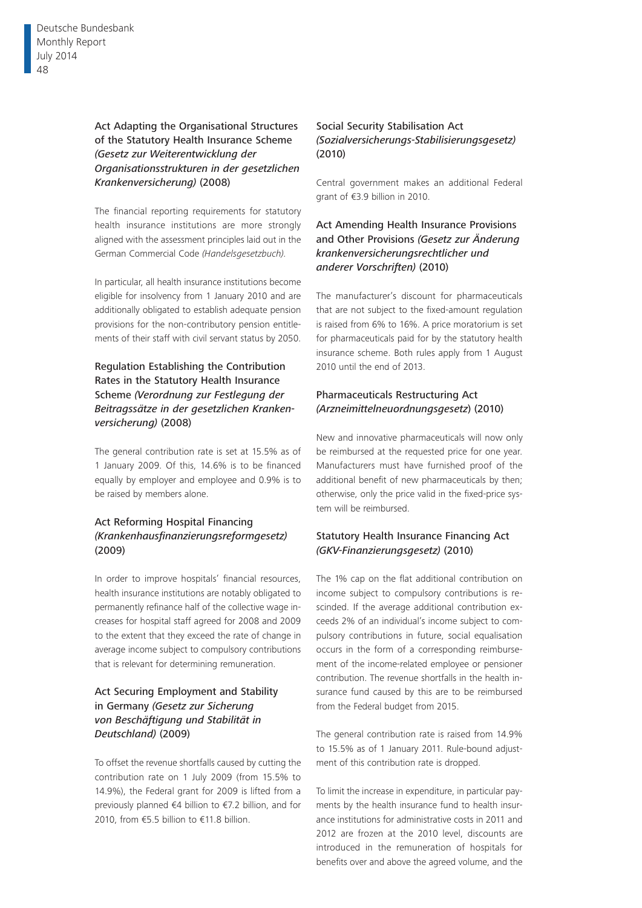#### Act Adapting the Organisational Structures of the Statutory Health Insurance Scheme *(Gesetz zur Weiterentwicklung der Organisationsstrukturen in der gesetzlichen Krankenversicherung)* (2008)

The financial reporting requirements for statutory health insurance institutions are more strongly aligned with the assessment principles laid out in the German Commercial Code *(Handelsgesetzbuch).*

In particular, all health insurance institutions become eligible for insolvency from 1 January 2010 and are additionally obligated to establish adequate pension provisions for the non-contributory pension entitlements of their staff with civil servant status by 2050.

#### Regulation Establishing the Contribution Rates in the Statutory Health Insurance Scheme *(Verordnung zur Festlegung der Beitragssätze in der gesetzlichen Krankenversicherung)* (2008)

The general contribution rate is set at 15.5% as of 1 January 2009. Of this, 14.6% is to be financed equally by employer and employee and 0.9% is to be raised by members alone.

#### Act Reforming Hospital Financing *(Krankenhausfinanzierungsreformgesetz)* (2009)

In order to improve hospitals' financial resources, health insurance institutions are notably obligated to permanently refinance half of the collective wage increases for hospital staff agreed for 2008 and 2009 to the extent that they exceed the rate of change in average income subject to compulsory contributions that is relevant for determining remuneration.

#### Act Securing Employment and Stability in Germany *(Gesetz zur Sicherung von Beschäftigung und Stabilität in Deutschland)* (2009)

To offset the revenue shortfalls caused by cutting the contribution rate on 1 July 2009 (from 15.5% to 14.9%), the Federal grant for 2009 is lifted from a previously planned €4 billion to €7.2 billion, and for 2010, from €5.5 billion to €11.8 billion.

#### Social Security Stabilisation Act *(Sozialversicherungs-Stabilisierungsgesetz)* (2010)

Central government makes an additional Federal grant of €3.9 billion in 2010.

Act Amending Health Insurance Provisions and Other Provisions *(Gesetz zur Änderung krankenversicherungsrechtlicher und anderer Vorschriften)* (2010)

The manufacturer's discount for pharmaceuticals that are not subject to the fixed-amount regulation is raised from 6% to 16%. A price moratorium is set for pharmaceuticals paid for by the statutory health insurance scheme. Both rules apply from 1 August 2010 until the end of 2013.

#### Pharmaceuticals Restructuring Act *(Arzneimittelneuordnungsgesetz*) (2010)

New and innovative pharmaceuticals will now only be reimbursed at the requested price for one year. Manufacturers must have furnished proof of the additional benefit of new pharmaceuticals by then; otherwise, only the price valid in the fixed-price system will be reimbursed.

#### Statutory Health Insurance Financing Act *(GKV-Finanzierungsgesetz)* (2010)

The 1% cap on the flat additional contribution on income subject to compulsory contributions is rescinded. If the average additional contribution exceeds 2% of an individual's income subject to compulsory contributions in future, social equalisation occurs in the form of a corresponding reimbursement of the income-related employee or pensioner contribution. The revenue shortfalls in the health insurance fund caused by this are to be reimbursed from the Federal budget from 2015.

The general contribution rate is raised from 14.9% to 15.5% as of 1 January 2011. Rule-bound adjustment of this contribution rate is dropped.

To limit the increase in expenditure, in particular payments by the health insurance fund to health insurance institutions for administrative costs in 2011 and 2012 are frozen at the 2010 level, discounts are introduced in the remuneration of hospitals for benefits over and above the agreed volume, and the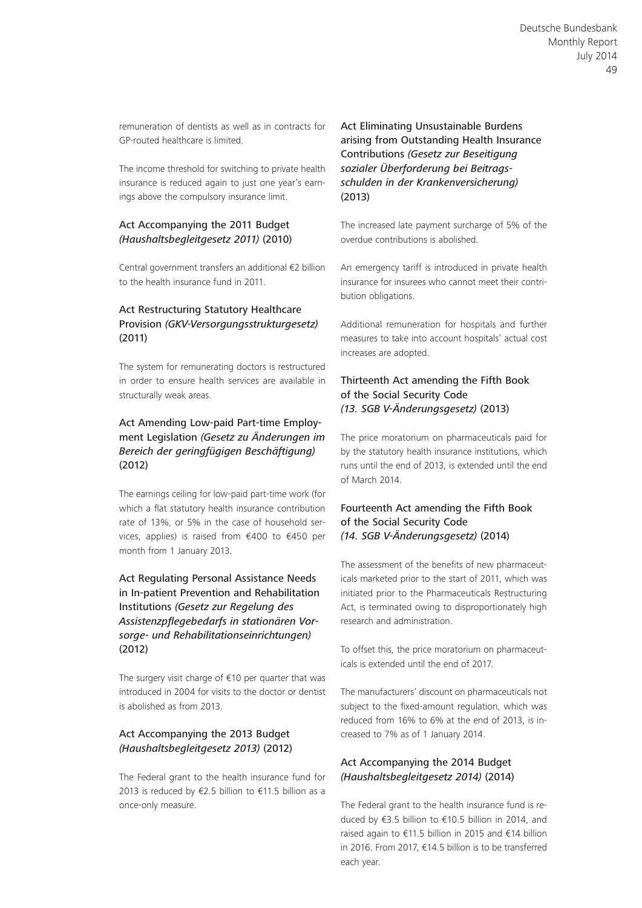remuneration of dentists as well as in contracts for GP-routed healthcare is limited.

The income threshold for switching to private health insurance is reduced again to just one year's earnings above the compulsory insurance limit.

#### Act Accompanying the 2011 Budget *(Haushaltsbegleitgesetz 2011)* (2010)

Central government transfers an additional €2 billion to the health insurance fund in 2011.

#### Act Restructuring Statutory Healthcare Provision *(GKV-Versorgungsstrukturgesetz)* (2011)

The system for remunerating doctors is restructured in order to ensure health services are available in structurally weak areas.

#### Act Amending Low-paid Part-time Employment Legislation *(Gesetz zu Änderungen im Bereich der geringfügigen Beschäftigung)* (2012)

The earnings ceiling for low-paid part-time work (for which a flat statutory health insurance contribution rate of 13%, or 5% in the case of household services, applies) is raised from €400 to €450 per month from 1 January 2013.

#### Act Regulating Personal Assistance Needs in In-patient Prevention and Rehabilitation Institutions *(Gesetz zur Regelung des Assistenzpflegebedarfs in stationären Vorsorge- und Rehabilitationseinrichtungen)* (2012)

The surgery visit charge of €10 per quarter that was introduced in 2004 for visits to the doctor or dentist is abolished as from 2013.

#### Act Accompanying the 2013 Budget *(Haushaltsbegleitgesetz 2013)* (2012)

The Federal grant to the health insurance fund for 2013 is reduced by €2.5 billion to €11.5 billion as a once-only measure.

#### Act Eliminating Unsustainable Burdens arising from Outstanding Health Insurance Contributions *(Gesetz zur Beseitigung sozialer Überforderung bei Beitragsschulden in der Krankenversicherung)* (2013)

The increased late payment surcharge of 5% of the overdue contributions is abolished.

An emergency tariff is introduced in private health insurance for insurees who cannot meet their contribution obligations.

Additional remuneration for hospitals and further measures to take into account hospitals' actual cost increases are adopted.

#### Thirteenth Act amending the Fifth Book of the Social Security Code *(13. SGB V-Änderungsgesetz)* (2013)

The price moratorium on pharmaceuticals paid for by the statutory health insurance institutions, which runs until the end of 2013, is extended until the end of March 2014.

#### Fourteenth Act amending the Fifth Book of the Social Security Code *(14. SGB V-Änderungsgesetz)* (2014)

The assessment of the benefits of new pharmaceuticals marketed prior to the start of 2011, which was initiated prior to the Pharmaceuticals Restructuring Act, is terminated owing to disproportionately high research and administration.

To offset this, the price moratorium on pharmaceuticals is extended until the end of 2017.

The manufacturers' discount on pharmaceuticals not subject to the fixed-amount regulation, which was reduced from 16% to 6% at the end of 2013, is increased to 7% as of 1 January 2014.

#### Act Accompanying the 2014 Budget *(Haushaltsbegleitgesetz 2014)* (2014)

The Federal grant to the health insurance fund is reduced by €3.5 billion to €10.5 billion in 2014, and raised again to €11.5 billion in 2015 and €14 billion in 2016. From 2017, €14.5 billion is to be transferred each year.